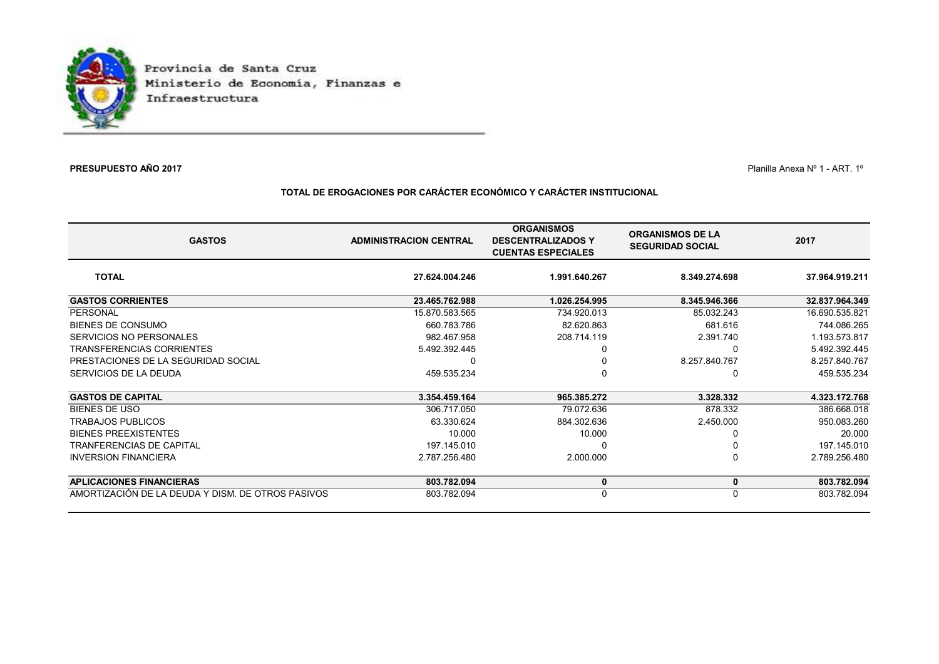

## **PRESUPUESTO AÑO 2017**

 $\mathcal T$  Planilla Anexa N° 1 - ART. 1°

## **TOTAL DE EROGACIONES POR CARÁCTER ECONÓMICO Y CARÁCTER INSTITUCIONAL**

| <b>GASTOS</b>                                     | <b>ADMINISTRACION CENTRAL</b> | <b>ORGANISMOS</b><br><b>DESCENTRALIZADOS Y</b><br><b>CUENTAS ESPECIALES</b> | <b>ORGANISMOS DE LA</b><br><b>SEGURIDAD SOCIAL</b> | 2017           |
|---------------------------------------------------|-------------------------------|-----------------------------------------------------------------------------|----------------------------------------------------|----------------|
| <b>TOTAL</b>                                      | 27.624.004.246                | 1.991.640.267                                                               | 8.349.274.698                                      | 37.964.919.211 |
| <b>GASTOS CORRIENTES</b>                          | 23.465.762.988                | 1.026.254.995                                                               | 8.345.946.366                                      | 32.837.964.349 |
| PERSONAL                                          | 15.870.583.565                | 734.920.013                                                                 | 85.032.243                                         | 16.690.535.821 |
| BIENES DE CONSUMO                                 | 660.783.786                   | 82.620.863                                                                  | 681.616                                            | 744.086.265    |
| SERVICIOS NO PERSONALES                           | 982.467.958                   | 208.714.119                                                                 | 2.391.740                                          | 1.193.573.817  |
| <b>TRANSFERENCIAS CORRIENTES</b>                  | 5.492.392.445                 |                                                                             |                                                    | 5.492.392.445  |
| PRESTACIONES DE LA SEGURIDAD SOCIAL               |                               |                                                                             | 8.257.840.767                                      | 8.257.840.767  |
| SERVICIOS DE LA DEUDA                             | 459.535.234                   |                                                                             | 0                                                  | 459.535.234    |
| <b>GASTOS DE CAPITAL</b>                          | 3.354.459.164                 | 965.385.272                                                                 | 3.328.332                                          | 4.323.172.768  |
| <b>BIENES DE USO</b>                              | 306.717.050                   | 79.072.636                                                                  | 878.332                                            | 386.668.018    |
| TRABAJOS PUBLICOS                                 | 63.330.624                    | 884.302.636                                                                 | 2.450.000                                          | 950.083.260    |
| <b>BIENES PREEXISTENTES</b>                       | 10.000                        | 10.000                                                                      |                                                    | 20.000         |
| <b>TRANFERENCIAS DE CAPITAL</b>                   | 197.145.010                   |                                                                             | 0                                                  | 197.145.010    |
| <b>INVERSION FINANCIERA</b>                       | 2.787.256.480                 | 2.000.000                                                                   | 0                                                  | 2.789.256.480  |
| <b>APLICACIONES FINANCIERAS</b>                   | 803.782.094                   | 0                                                                           | 0                                                  | 803.782.094    |
| AMORTIZACIÓN DE LA DEUDA Y DISM. DE OTROS PASIVOS | 803.782.094                   |                                                                             | 0                                                  | 803.782.094    |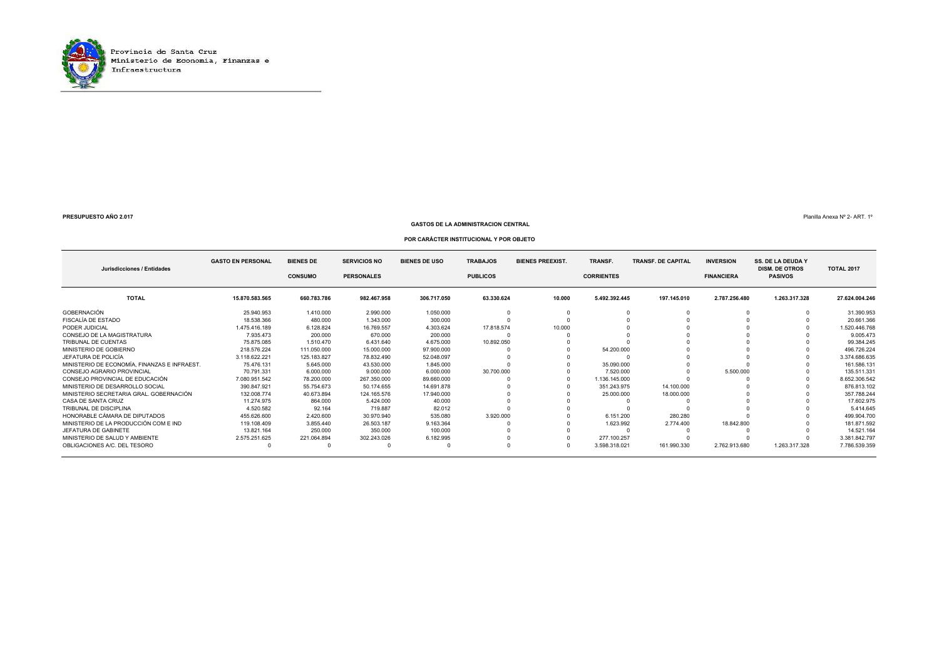

#### **GASTOS DE LA ADMINISTRACION CENTRAL**

Planilla Anexa Nº 2- ART. 1º

#### **POR CARÁCTER INSTITUCIONAL Y POR OBJETO**

|                                              | <b>GASTO EN PERSONAL</b> | <b>BIENES DE</b> | <b>SERVICIOS NO</b> | <b>BIENES DE USO</b> | <b>TRABAJOS</b> | <b>BIENES PREEXIST.</b> | TRANSF.           | <b>TRANSF. DE CAPITAL</b> | <b>INVERSION</b>  | <b>SS. DE LA DEUDA Y</b>                |                   |
|----------------------------------------------|--------------------------|------------------|---------------------|----------------------|-----------------|-------------------------|-------------------|---------------------------|-------------------|-----------------------------------------|-------------------|
| Jurisdicciones / Entidades                   |                          | <b>CONSUMO</b>   | <b>PERSONALES</b>   |                      | <b>PUBLICOS</b> |                         | <b>CORRIENTES</b> |                           | <b>FINANCIERA</b> | <b>DISM. DE OTROS</b><br><b>PASIVOS</b> | <b>TOTAL 2017</b> |
| <b>TOTAL</b>                                 | 15.870.583.565           | 660.783.786      | 982.467.958         | 306.717.050          | 63.330.624      | 10.000                  | 5.492.392.445     | 197.145.010               | 2.787.256.480     | 1.263.317.328                           | 27.624.004.246    |
| GOBERNACIÓN                                  | 25.940.953               | 1.410.000        | 2.990.000           | 1.050.000            |                 |                         |                   |                           |                   |                                         | 31.390.953        |
| FISCALÍA DE ESTADO                           | 18.538.366               | 480.000          | 1.343.000           | 300.000              |                 |                         |                   |                           |                   |                                         | 20.661.366        |
| PODER JUDICIAL                               | 1.475.416.189            | 6.128.824        | 16.769.557          | 4.303.624            | 17.818.574      | 10.000                  |                   |                           |                   |                                         | 1.520.446.768     |
| CONSEJO DE LA MAGISTRATURA                   | 7.935.473                | 200.000          | 670.000             | 200.000              |                 |                         |                   |                           |                   |                                         | 9.005.473         |
| TRIBUNAL DE CUENTAS                          | 75.875.085               | 1.510.470        | 6.431.640           | 4.675.000            | 10.892.050      |                         |                   |                           |                   |                                         | 99.384.245        |
| MINISTERIO DE GOBIERNO                       | 218.576.224              | 111.050.000      | 15.000.000          | 97,900,000           |                 |                         | 54.200.000        |                           |                   |                                         | 496.726.224       |
| JEFATURA DE POLICÍA                          | 3.118.622.221            | 125.183.827      | 78.832.490          | 52.048.097           |                 |                         |                   |                           |                   |                                         | 3.374.686.635     |
| MINISTERIO DE ECONOMÍA. FINANZAS E INFRAEST. | 75.476.131               | 5.645.000        | 43.530.000          | 1.845.000            |                 |                         | 35.090.000        |                           |                   |                                         | 161.586.131       |
| CONSEJO AGRARIO PROVINCIAL                   | 70.791.331               | 6.000.000        | 9.000.000           | 6.000.000            | 30.700.000      |                         | 7.520.000         |                           | 5.500.000         |                                         | 135.511.331       |
| CONSEJO PROVINCIAL DE EDUCACIÓN              | 7.080.951.542            | 78.200.000       | 267.350.000         | 89.660.000           |                 |                         | 1.136.145.000     |                           |                   |                                         | 8.652.306.542     |
| MINISTERIO DE DESARROLLO SOCIAL              | 390.847.921              | 55.754.673       | 50.174.655          | 14.691.878           |                 |                         | 351.243.975       | 14.100.000                |                   |                                         | 876.813.102       |
| MINISTERIO SECRETARIA GRAL, GOBERNACIÓN      | 132.008.774              | 40.673.894       | 124.165.576         | 17,940,000           |                 |                         | 25,000,000        | 18.000.000                |                   |                                         | 357.788.244       |
| CASA DE SANTA CRUZ                           | 11.274.975               | 864.000          | 5.424.000           | 40.000               |                 |                         |                   |                           |                   |                                         | 17.602.975        |
| TRIBUNAL DE DISCIPLINA                       | 4.520.582                | 92.164           | 719.887             | 82.012               |                 |                         |                   |                           |                   |                                         | 5.414.645         |
| HONORABLE CÁMARA DE DIPUTADOS                | 455.626.600              | 2.420.600        | 30.970.940          | 535.080              | 3.920.000       |                         | 6.151.200         | 280.280                   |                   |                                         | 499.904.700       |
| MINISTERIO DE LA PRODUCCIÓN COM E IND        | 119.108.409              | 3.855.440        | 26.503.187          | 9.163.364            |                 |                         | 1.623.992         | 2.774.400                 | 18.842.800        |                                         | 181.871.592       |
| JEFATURA DE GABINETE                         | 13.821.164               | 250.000          | 350.000             | 100,000              |                 |                         |                   |                           |                   |                                         | 14.521.164        |
| MINISTERIO DE SALUD Y AMBIENTE               | 2.575.251.625            | 221.064.894      | 302.243.026         | 6.182.995            |                 |                         | 277.100.257       |                           |                   |                                         | 3.381.842.797     |
| OBLIGACIONES A/C. DEL TESORO                 |                          |                  |                     |                      |                 |                         | 3.598.318.021     | 161.990.330               | 2.762.913.680     | 1.263.317.328                           | 7.786.539.359     |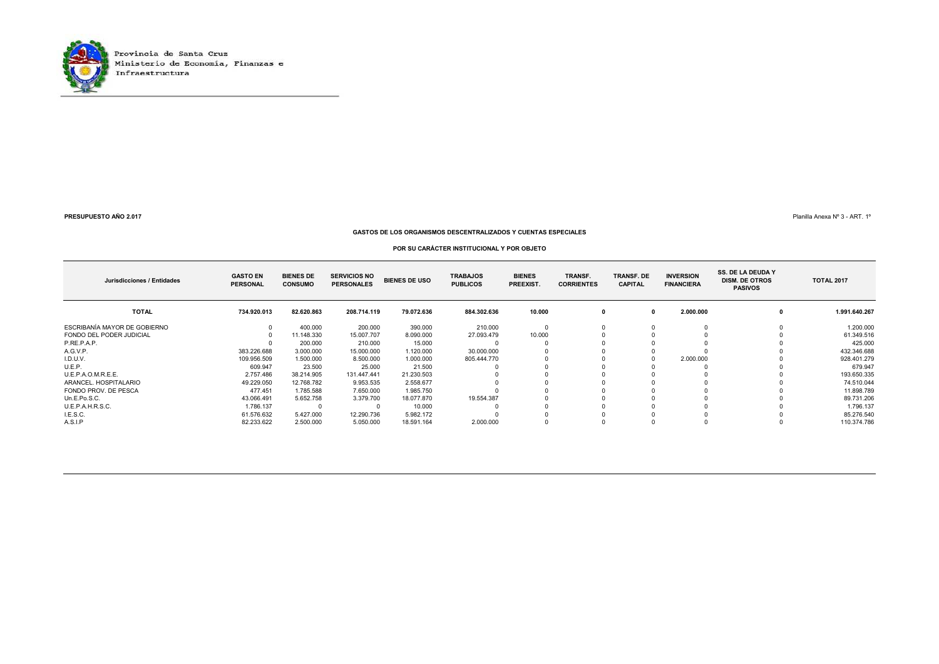

Planilla Anexa Nº 3 - ART. 1º

#### **GASTOS DE LOS ORGANISMOS DESCENTRALIZADOS Y CUENTAS ESPECIALES**

#### **POR SU CARÁCTER INSTITUCIONAL Y POR OBJETO**

| Jurisdicciones / Entidades   | <b>GASTO EN</b><br><b>PERSONAL</b> | <b>BIENES DE</b><br><b>CONSUMO</b> | <b>SERVICIOS NO</b><br><b>PERSONALES</b> | <b>BIENES DE USO</b> | <b>TRABAJOS</b><br><b>PUBLICOS</b> | <b>BIENES</b><br>PREEXIST. | TRANSF.<br><b>CORRIENTES</b> | <b>TRANSF. DE</b><br><b>CAPITAL</b> | <b>INVERSION</b><br><b>FINANCIERA</b> | <b>SS. DE LA DEUDA Y</b><br><b>DISM. DE OTROS</b><br><b>PASIVOS</b> | <b>TOTAL 2017</b> |
|------------------------------|------------------------------------|------------------------------------|------------------------------------------|----------------------|------------------------------------|----------------------------|------------------------------|-------------------------------------|---------------------------------------|---------------------------------------------------------------------|-------------------|
| <b>TOTAL</b>                 | 734.920.013                        | 82.620.863                         | 208.714.119                              | 79.072.636           | 884.302.636                        | 10.000                     |                              | 0                                   | 2.000.000                             |                                                                     | 1.991.640.267     |
| ESCRIBANÍA MAYOR DE GOBIERNO |                                    | 400.000                            | 200.000                                  | 390.000              | 210.000                            |                            |                              |                                     |                                       |                                                                     | 1.200.000         |
| FONDO DEL PODER JUDICIAL     |                                    | 11.148.330                         | 15.007.707                               | 8.090.000            | 27.093.479                         | 10.000                     |                              |                                     |                                       |                                                                     | 61.349.516        |
| P.RE.P.A.P.                  |                                    | 200.000                            | 210.000                                  | 15.000               |                                    |                            |                              |                                     |                                       |                                                                     | 425.000           |
| A.G.V.P.                     | 383.226.688                        | 3.000.000                          | 15.000.000                               | 1.120.000            | 30.000.000                         |                            |                              |                                     |                                       |                                                                     | 432.346.688       |
| I.D.U.V.                     | 109.956.509                        | 1.500.000                          | 8.500.000                                | 1.000.000            | 805.444.770                        |                            |                              |                                     | 2.000.000                             |                                                                     | 928.401.279       |
| U.E.P.                       | 609.947                            | 23.500                             | 25.000                                   | 21.500               |                                    |                            |                              |                                     |                                       |                                                                     | 679.947           |
| U.E.P.A.O.M.R.E.E.           | 2.757.486                          | 38.214.905                         | 131.447.441                              | 21.230.503           |                                    |                            |                              |                                     |                                       |                                                                     | 193.650.335       |
| ARANCEL, HOSPITALARIO        | 49.229.050                         | 12.768.782                         | 9.953.535                                | 2.558.677            |                                    |                            |                              |                                     |                                       |                                                                     | 74.510.044        |
| FONDO PROV. DE PESCA         | 477.451                            | 1.785.588                          | 7.650.000                                | 1.985.750            |                                    |                            |                              |                                     |                                       |                                                                     | 11.898.789        |
| Un.E.Po.S.C.                 | 43.066.491                         | 5.652.758                          | 3.379.700                                | 18.077.870           | 19.554.387                         |                            |                              |                                     |                                       |                                                                     | 89.731.206        |
| U.E.P.A.H.R.S.C.             | 1.786.137                          |                                    |                                          | 10.000               |                                    |                            |                              |                                     |                                       |                                                                     | 1.796.137         |
| I.E.S.C.                     | 61.576.632                         | 5.427.000                          | 12.290.736                               | 5.982.172            |                                    |                            |                              |                                     |                                       |                                                                     | 85.276.540        |
| A.S.I.P                      | 82.233.622                         | 2.500.000                          | 5.050.000                                | 18.591.164           | 2.000.000                          |                            |                              |                                     |                                       |                                                                     | 110.374.786       |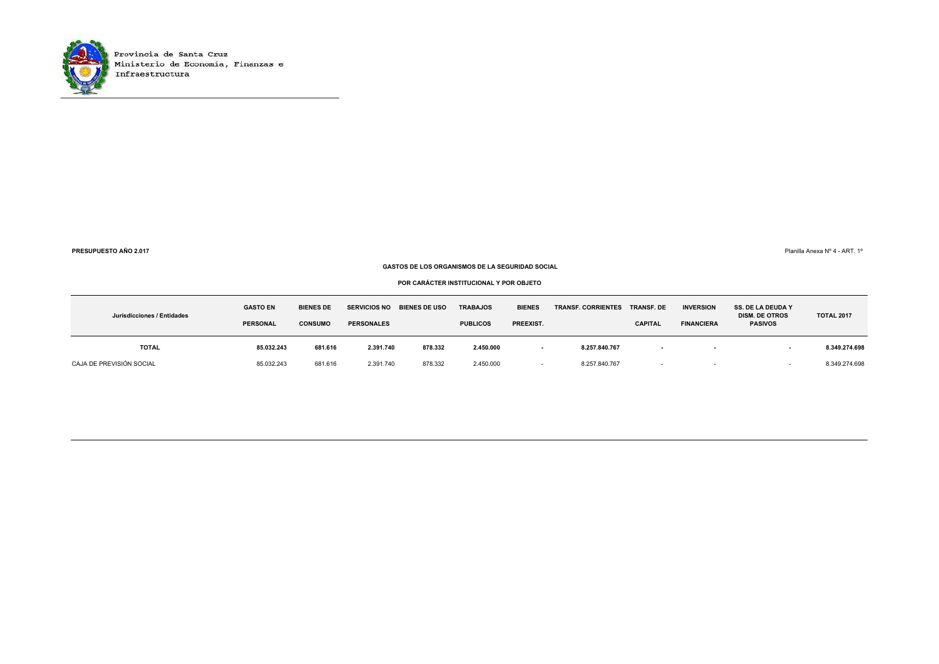

**PRESUPUESTO AÑO 2.017**

Planilla Anexa Nº 4 - ART. 1º

#### **GASTOS DE LOS ORGANISMOS DE LA SEGURIDAD SOCIAL**

**POR CARÁCTER INSTITUCIONAL Y POR OBJETO**

| Jurisdicciones / Entidades | <b>GASTO EN</b><br><b>PERSONAL</b> | <b>BIENES DE</b><br><b>CONSUMO</b> | <b>SERVICIOS NO</b><br><b>PERSONALES</b> | <b>BIENES DE USO</b> | <b>TRABAJOS</b><br><b>PUBLICOS</b> | <b>BIENES</b><br>PREEXIST. | <b>TRANSF. CORRIENTES</b> | <b>TRANSF. DE</b><br><b>CAPITAL</b> | <b>INVERSION</b><br><b>FINANCIERA</b> | <b>SS. DE LA DEUDA Y</b><br><b>DISM. DE OTROS</b><br><b>PASIVOS</b> | <b>TOTAL 2017</b> |
|----------------------------|------------------------------------|------------------------------------|------------------------------------------|----------------------|------------------------------------|----------------------------|---------------------------|-------------------------------------|---------------------------------------|---------------------------------------------------------------------|-------------------|
| <b>TOTAL</b>               | 85.032.243                         | 681.616                            | 2.391.740                                | 878.332              | 2.450.000                          | . .                        | 8.257.840.767             | $\sim$                              | $\blacksquare$                        |                                                                     | 8.349.274.698     |
| CAJA DE PREVISIÓN SOCIAL   | 85.032.243                         | 681.616                            | 2.391.740                                | 878.332              | 2.450.000                          |                            | 8.257.840.767             | $\overline{\phantom{a}}$            |                                       |                                                                     | 8.349.274.698     |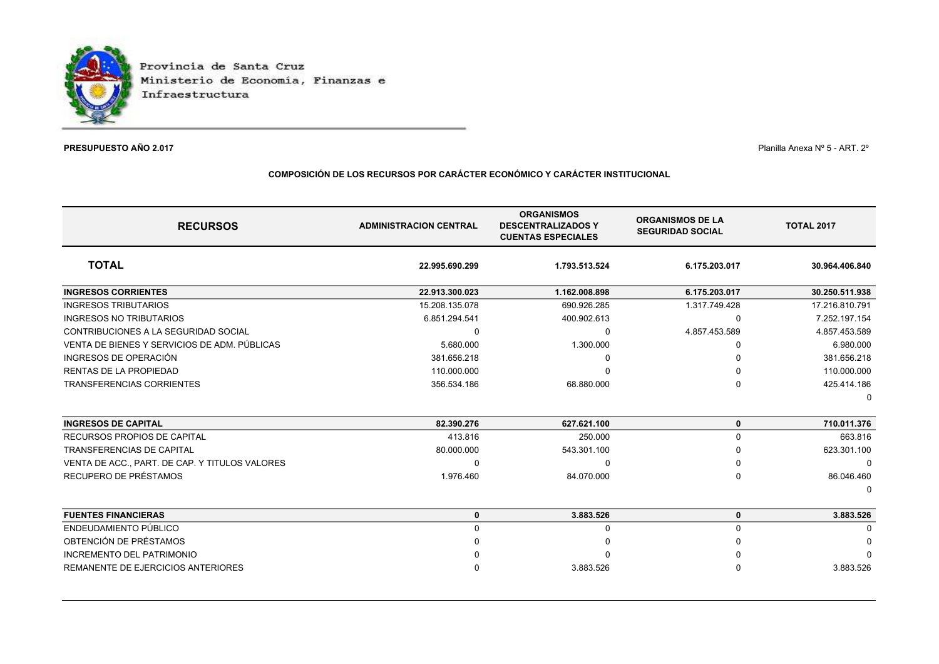

## **PRESUPUESTO AÑO 2.017**

 $\mathcal T$  and  $\mathcal T$  and  $\mathcal T$  are  $\mathcal T$  and  $\mathcal T$  are  $\mathcal T$  and  $\mathcal T$  are  $\mathcal T$  and  $\mathcal T$  are  $\mathcal T$  and  $\mathcal T$  are  $\mathcal T$  and  $\mathcal T$  are  $\mathcal T$  and  $\mathcal T$  are  $\mathcal T$  and  $\mathcal T$  are  $\mathcal T$  and  $\mathcal T$  are  $\mathcal T$  and

## **COMPOSICIÓN DE LOS RECURSOS POR CARÁCTER ECONÓMICO Y CARÁCTER INSTITUCIONAL**

| <b>RECURSOS</b>                                | <b>ADMINISTRACION CENTRAL</b> | <b>ORGANISMOS</b><br><b>DESCENTRALIZADOS Y</b><br><b>CUENTAS ESPECIALES</b> | <b>ORGANISMOS DE LA</b><br><b>SEGURIDAD SOCIAL</b> | <b>TOTAL 2017</b> |
|------------------------------------------------|-------------------------------|-----------------------------------------------------------------------------|----------------------------------------------------|-------------------|
| <b>TOTAL</b>                                   | 22.995.690.299                | 1.793.513.524                                                               | 6.175.203.017                                      | 30.964.406.840    |
| <b>INGRESOS CORRIENTES</b>                     | 22.913.300.023                | 1.162.008.898                                                               | 6.175.203.017                                      | 30.250.511.938    |
| <b>INGRESOS TRIBUTARIOS</b>                    | 15.208.135.078                | 690.926.285                                                                 | 1.317.749.428                                      | 17.216.810.791    |
| <b>INGRESOS NO TRIBUTARIOS</b>                 | 6.851.294.541                 | 400.902.613                                                                 | $\Omega$                                           | 7.252.197.154     |
| CONTRIBUCIONES A LA SEGURIDAD SOCIAL           | <sup>0</sup>                  | $\Omega$                                                                    | 4.857.453.589                                      | 4.857.453.589     |
| VENTA DE BIENES Y SERVICIOS DE ADM. PÚBLICAS   | 5.680.000                     | 1.300.000                                                                   |                                                    | 6.980.000         |
| INGRESOS DE OPERACIÓN                          | 381.656.218                   |                                                                             |                                                    | 381.656.218       |
| RENTAS DE LA PROPIEDAD                         | 110.000.000                   |                                                                             |                                                    | 110.000.000       |
| <b>TRANSFERENCIAS CORRIENTES</b>               | 356.534.186                   | 68.880.000                                                                  | $\Omega$                                           | 425.414.186       |
|                                                |                               |                                                                             |                                                    | n                 |
| <b>INGRESOS DE CAPITAL</b>                     | 82.390.276                    | 627.621.100                                                                 | 0                                                  | 710.011.376       |
| RECURSOS PROPIOS DE CAPITAL                    | 413.816                       | 250.000                                                                     | 0                                                  | 663.816           |
| <b>TRANSFERENCIAS DE CAPITAL</b>               | 80.000.000                    | 543.301.100                                                                 |                                                    | 623.301.100       |
| VENTA DE ACC., PART. DE CAP. Y TITULOS VALORES | $\Omega$                      | ŋ                                                                           | <sup>0</sup>                                       |                   |
| RECUPERO DE PRÉSTAMOS                          | 1.976.460                     | 84.070.000                                                                  | $\Omega$                                           | 86.046.460        |
|                                                |                               |                                                                             |                                                    | ŋ                 |
| <b>FUENTES FINANCIERAS</b>                     | 0                             | 3.883.526                                                                   | 0                                                  | 3.883.526         |
| ENDEUDAMIENTO PÚBLICO                          | $\Omega$                      | ŋ                                                                           | $\Omega$                                           |                   |
| OBTENCIÓN DE PRÉSTAMOS                         |                               |                                                                             |                                                    |                   |
| <b>INCREMENTO DEL PATRIMONIO</b>               |                               |                                                                             |                                                    |                   |
| REMANENTE DE EJERCICIOS ANTERIORES             |                               | 3.883.526                                                                   |                                                    | 3.883.526         |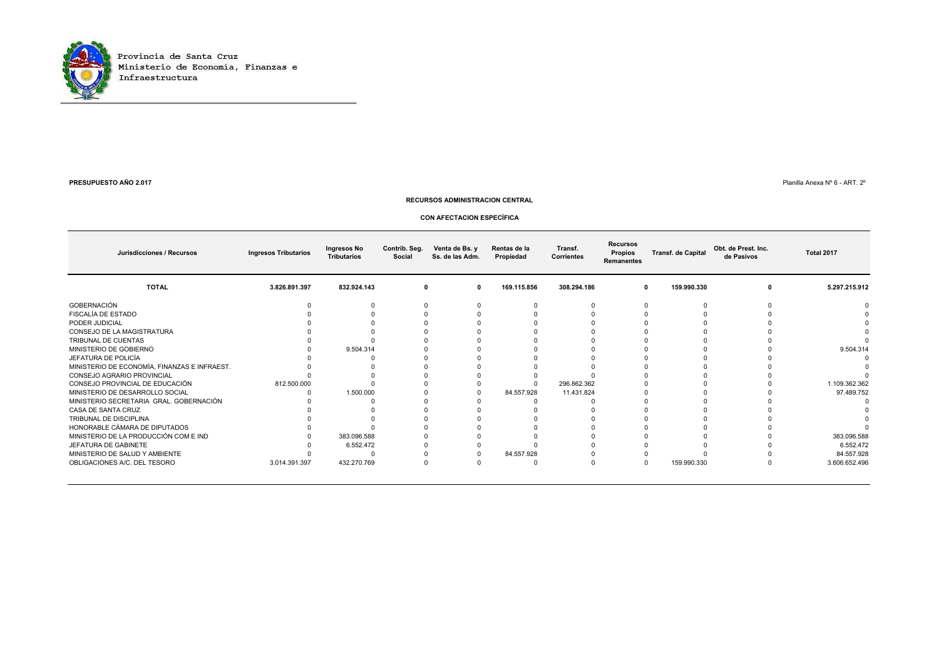

#### **PRESUPUESTO AÑO 2.017**

 $\,$ 7 $\,$ 7 $\,$ 

#### **RECURSOS ADMINISTRACION CENTRAL**

#### **CON AFECTACION ESPECÍFICA**

| Jurisdicciones / Recursos                    | <b>Ingresos Tributarios</b> | Ingresos No<br><b>Tributarios</b> | Contrib. Seg.<br>Social | Venta de Bs. y<br>Ss. de las Adm. | Rentas de la<br>Propiedad | Transf.<br><b>Corrientes</b> | <b>Recursos</b><br>Propios<br><b>Remanentes</b> | <b>Transf. de Capital</b> | Obt. de Prest. Inc.<br>de Pasivos | Total 2017    |
|----------------------------------------------|-----------------------------|-----------------------------------|-------------------------|-----------------------------------|---------------------------|------------------------------|-------------------------------------------------|---------------------------|-----------------------------------|---------------|
| <b>TOTAL</b>                                 | 3.826.891.397               | 832.924.143                       | 0                       | $\mathbf{0}$                      | 169.115.856               | 308.294.186                  |                                                 | 159.990.330<br>0          | 0                                 | 5.297.215.912 |
| GOBERNACIÓN                                  |                             |                                   |                         |                                   |                           |                              |                                                 |                           |                                   |               |
| FISCALÍA DE ESTADO                           |                             |                                   |                         |                                   |                           |                              |                                                 |                           |                                   |               |
| PODER JUDICIAL                               |                             |                                   |                         |                                   |                           |                              |                                                 |                           |                                   |               |
| CONSEJO DE LA MAGISTRATURA                   |                             |                                   |                         |                                   |                           |                              |                                                 |                           |                                   |               |
| TRIBUNAL DE CUENTAS                          |                             |                                   |                         |                                   |                           |                              |                                                 |                           |                                   |               |
| MINISTERIO DE GOBIERNO                       |                             | 9.504.314                         |                         |                                   |                           |                              |                                                 |                           |                                   | 9.504.314     |
| JEFATURA DE POLICÍA                          |                             |                                   |                         |                                   |                           |                              |                                                 |                           |                                   |               |
| MINISTERIO DE ECONOMÍA, FINANZAS E INFRAEST. |                             |                                   |                         |                                   |                           |                              |                                                 |                           |                                   |               |
| CONSEJO AGRARIO PROVINCIAL                   |                             |                                   |                         |                                   |                           |                              |                                                 |                           |                                   |               |
| CONSEJO PROVINCIAL DE EDUCACIÓN              | 812.500.000                 |                                   |                         |                                   |                           | 296.862.362                  |                                                 |                           |                                   | 1.109.362.362 |
| MINISTERIO DE DESARROLLO SOCIAL              |                             | 1.500.000                         |                         |                                   | 84.557.928                | 11.431.824                   |                                                 |                           |                                   | 97.489.752    |
| MINISTERIO SECRETARIA GRAL. GOBERNACIÓN      |                             |                                   |                         |                                   |                           |                              |                                                 |                           |                                   |               |
| CASA DE SANTA CRUZ                           |                             |                                   |                         |                                   |                           |                              |                                                 |                           |                                   |               |
| TRIBUNAL DE DISCIPLINA                       |                             |                                   |                         |                                   |                           |                              |                                                 |                           |                                   |               |
| HONORABLE CÁMARA DE DIPUTADOS                |                             |                                   |                         |                                   |                           |                              |                                                 |                           |                                   |               |
| MINISTERIO DE LA PRODUCCIÓN COM E IND        |                             | 383.096.588                       |                         |                                   |                           |                              |                                                 |                           |                                   | 383.096.588   |
| JEFATURA DE GABINETE                         |                             | 6.552.472                         |                         |                                   |                           |                              |                                                 |                           |                                   | 6.552.472     |
| MINISTERIO DE SALUD Y AMBIENTE               |                             |                                   |                         |                                   | 84.557.928                |                              |                                                 |                           |                                   | 84.557.928    |
| OBLIGACIONES A/C. DEL TESORO                 | 3.014.391.397               | 432.270.769                       |                         |                                   |                           |                              |                                                 | 159.990.330               |                                   | 3.606.652.496 |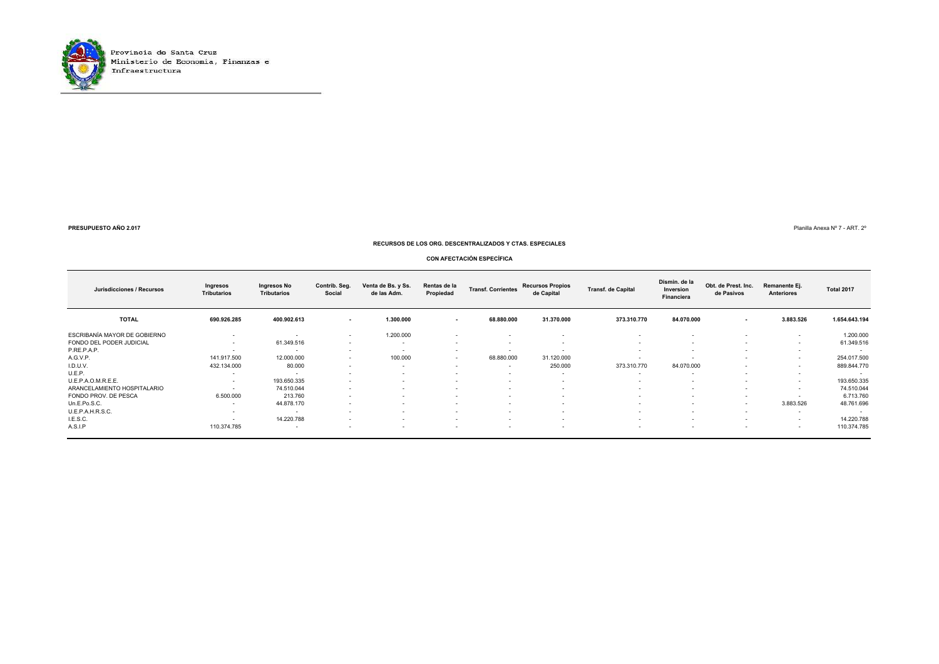

Ministerio de Economía, Finanzas e

**PRESUPUESTO AÑO 2.017**

Planilla Anexa Nº 7 - ART. 2º

#### **RECURSOS DE LOS ORG. DESCENTRALIZADOS Y CTAS. ESPECIALES**

#### **CON AFECTACIÓN ESPECÍFICA**

| Jurisdicciones / Recursos    | Ingresos<br><b>Tributarios</b> | Ingresos No<br><b>Tributarios</b> | Contrib. Seg.<br>Social  | Venta de Bs. y Ss.<br>de las Adm. | Rentas de la<br>Propiedad | <b>Transf. Corrientes</b> | <b>Recursos Propios</b><br>de Capital | <b>Transf. de Capital</b> | Dismin. de la<br>Inversion<br><b>Financiera</b> | Obt. de Prest. Inc.<br>de Pasivos | Remanente Ej.<br>Anteriores | <b>Total 2017</b>        |
|------------------------------|--------------------------------|-----------------------------------|--------------------------|-----------------------------------|---------------------------|---------------------------|---------------------------------------|---------------------------|-------------------------------------------------|-----------------------------------|-----------------------------|--------------------------|
| <b>TOTAL</b>                 | 690.926.285                    | 400.902.613                       | $\sim$                   | 1.300.000                         | $\overline{\phantom{a}}$  | 68.880.000                | 31.370.000                            | 373.310.770               | 84.070.000                                      | $\sim$                            | 3.883.526                   | 1.654.643.194            |
| ESCRIBANÍA MAYOR DE GOBIERNO | $\sim$                         | $\sim$                            | $\sim$                   | 1.200.000                         | $\sim$                    | $\overline{\phantom{0}}$  | $\sim$                                | $\sim$                    | $\sim$                                          | $\sim$                            | $\sim$                      | 1.200.000                |
| FONDO DEL PODER JUDICIAL     | $\sim$                         | 61.349.516                        | $\sim$                   | $\sim$                            | $\overline{\phantom{a}}$  | $\sim$                    | $\overline{\phantom{a}}$              | $\sim$                    | $\sim$                                          |                                   | $\sim$                      | 61.349.516               |
| P.RE.P.A.P.                  |                                | $\sim$                            | $\overline{\phantom{a}}$ |                                   | $\sim$                    | $\sim$                    | $\overline{\phantom{a}}$              | $\sim$                    | $\sim$                                          | $\sim$                            | $\sim$                      | - 4                      |
| A.G.V.P.                     | 141.917.500                    | 12.000.000                        | $\sim$                   | 100.000                           | $\sim$                    | 68.880.000                | 31.120.000                            | $\overline{\phantom{a}}$  | $\overline{\phantom{a}}$                        | $\sim$                            | $\sim$                      | 254.017.500              |
| I.D.U.V.                     | 432.134.000                    | 80.000                            | $\sim$                   | $\sim$                            | $\sim$                    | $\sim$                    | 250.000                               | 373.310.770               | 84.070.000                                      | $\sim$                            | $\sim$                      | 889.844.770              |
| U.E.P.                       |                                | $\overline{\phantom{a}}$          | $\overline{\phantom{a}}$ | $\sim$                            | $\sim$                    | $\sim$                    | $\sim$                                | $\sim$                    | $\overline{\phantom{a}}$                        | $\sim$                            | $\sim$                      | $\overline{\phantom{a}}$ |
| U.E.P.A.O.M.R.E.E.           |                                | 193.650.335                       | $\overline{\phantom{a}}$ | $\sim$                            | $\overline{\phantom{a}}$  | $\overline{\phantom{a}}$  | $\overline{\phantom{a}}$              | $\overline{\phantom{a}}$  | $\overline{\phantom{a}}$                        | $\sim$                            | $\sim$                      | 193.650.335              |
| ARANCELAMIENTO HOSPITALARIO  | $\sim$                         | 74.510.044                        | $\sim$                   | $\sim$                            | $\sim$                    | $\sim$                    | $\sim$                                | $\sim$                    | $\sim$                                          | $\sim$                            | $\overline{\phantom{a}}$    | 74.510.044               |
| FONDO PROV. DE PESCA         | 6.500.000                      | 213.760                           | $\sim$                   | $\sim$                            | $\sim$                    | $\sim$                    | $\sim$                                | $\sim$                    | $\sim$                                          | $\sim$                            |                             | 6.713.760                |
| Un.E.Po.S.C.                 | $\sim$                         | 44.878.170                        | $\sim$                   | $\sim$                            | $\sim$                    | $\sim$                    | $\sim$                                | $\sim$                    | $\sim$                                          | $\sim$                            | 3.883.526                   | 48.761.696               |
| U.E.P.A.H.R.S.C.             | $\sim$                         | $\sim$                            | $\overline{\phantom{a}}$ | $\sim$                            | $\sim$                    | $\overline{\phantom{a}}$  | $\overline{\phantom{a}}$              | $\overline{\phantom{a}}$  | $\overline{\phantom{a}}$                        | $\sim$                            | $\overline{\phantom{a}}$    | $\sim$                   |
| I.E.S.C.                     | $\sim$                         | 14.220.788                        | $\sim$                   | $\sim$                            | $\sim$                    | $\sim$                    | $\sim$                                | $\sim$                    | $\sim$                                          | $\sim$                            | $\sim$                      | 14.220.788               |
| A.S.I.P                      | 110.374.785                    | $\sim$                            | $\overline{\phantom{0}}$ |                                   | <b>.</b>                  | $\overline{\phantom{a}}$  | $\overline{\phantom{a}}$              | $\overline{\phantom{a}}$  | $\overline{\phantom{a}}$                        |                                   | $\sim$                      | 110.374.785              |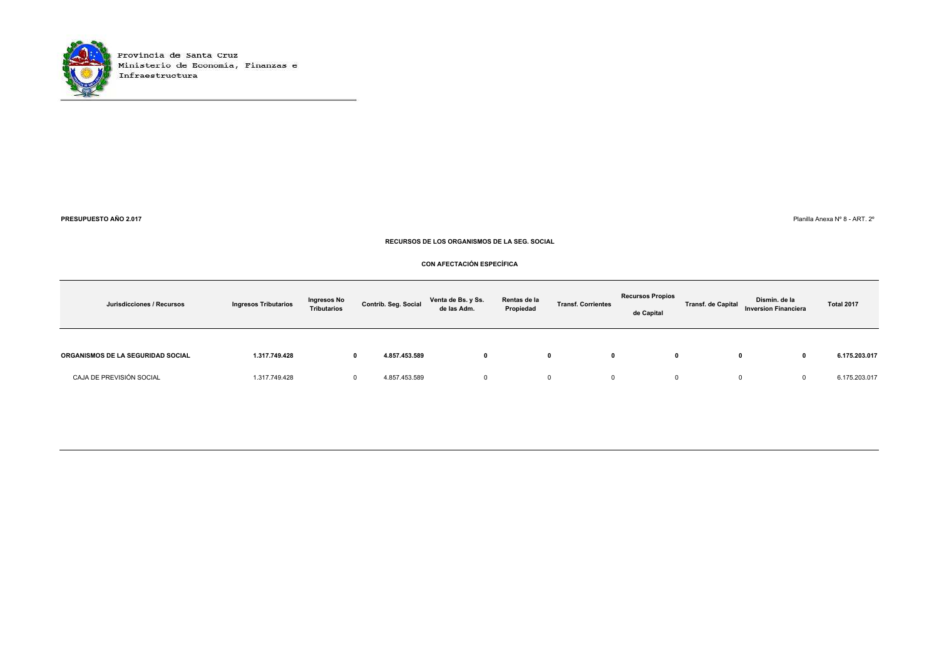

**PRESUPUESTO AÑO 2.017**

 $7$  Planilla Anexa № 8 - ART. 2º

#### **RECURSOS DE LOS ORGANISMOS DE LA SEG. SOCIAL**

#### **CON AFECTACIÓN ESPECÍFICA**

| Jurisdicciones / Recursos         | <b>Ingresos Tributarios</b> | <b>Ingresos No</b><br><b>Tributarios</b> | Contrib. Seg. Social | Venta de Bs. y Ss.<br>de las Adm. | Rentas de la<br>Propiedad | <b>Transf. Corrientes</b> | <b>Recursos Propios</b><br>de Capital | <b>Transf. de Capital</b> | Dismin. de la<br><b>Inversion Financiera</b> | Total 2017    |
|-----------------------------------|-----------------------------|------------------------------------------|----------------------|-----------------------------------|---------------------------|---------------------------|---------------------------------------|---------------------------|----------------------------------------------|---------------|
| ORGANISMOS DE LA SEGURIDAD SOCIAL | 1.317.749.428               |                                          | 4.857.453.589<br>0   |                                   |                           | $\mathbf{0}$<br>0         | 0                                     |                           |                                              | 6.175.203.017 |
| CAJA DE PREVISIÓN SOCIAL          | 1.317.749.428               |                                          | 4.857.453.589        |                                   |                           |                           |                                       | 0                         |                                              | 6.175.203.017 |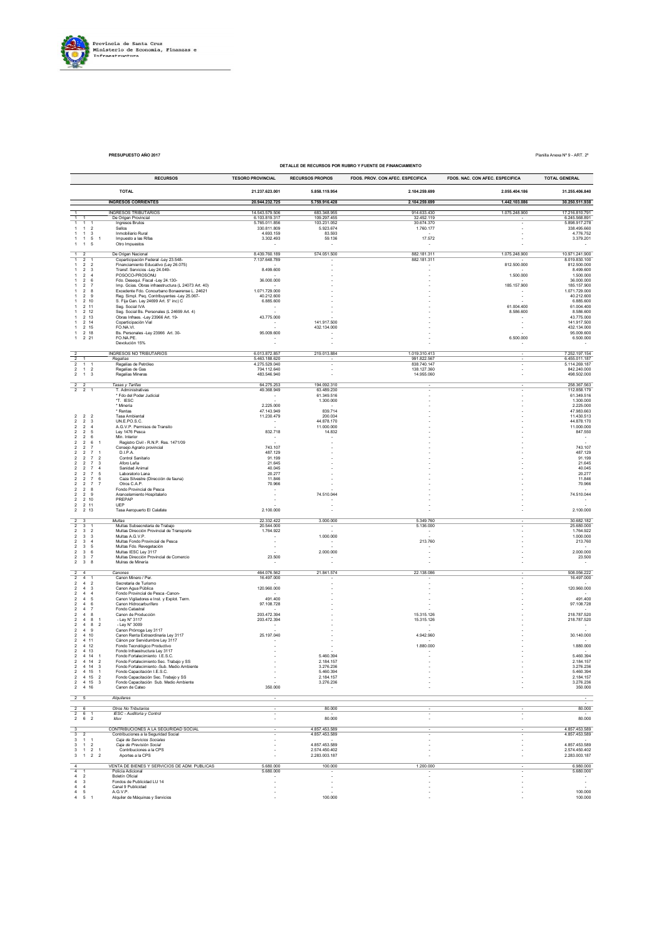

**PRESUPUESTO AÑO 2017** Planilla Anexa Nº 9 - ART. 2º

|                                                                                              |                                                                                  |                                                                                          |                                |                                | DETALLE DE RECURSOS POR RUBRO Y FUENTE DE FINANCIAMIENTO |                                 |                                    |
|----------------------------------------------------------------------------------------------|----------------------------------------------------------------------------------|------------------------------------------------------------------------------------------|--------------------------------|--------------------------------|----------------------------------------------------------|---------------------------------|------------------------------------|
|                                                                                              |                                                                                  | <b>RECURSOS</b>                                                                          | <b>TESORO PROVINCIAL</b>       | <b>RECURSOS PROPIOS</b>        | FDOS. PROV. CON AFEC. ESPECIFICA                         | FDOS. NAC. CON AFEC. ESPECIFICA | <b>TOTAL GENERAL</b>               |
|                                                                                              |                                                                                  |                                                                                          |                                |                                |                                                          |                                 |                                    |
|                                                                                              |                                                                                  | <b>TOTAL</b>                                                                             | 21.237.623.001                 | 5.858.119.954                  | 2.104.259.699                                            | 2.055.404.186                   | 31.255.406.840                     |
|                                                                                              |                                                                                  | <b>INGRESOS CORRIENTES</b>                                                               | 20.944.232.725                 | 5.759.916.428                  | 2.104.259.699                                            | 1.442.103.086                   | 30.250.511.938                     |
|                                                                                              |                                                                                  | <b>INGRESOS TRIBUTARIOS</b>                                                              | 14.543.579.506                 | 683.348.955                    | 914.633.430                                              | 1.075.248.900                   | 17.216.810.791                     |
| $\overline{1}$<br>$\mathbf{1}$<br>$\mathbf{1}$                                               |                                                                                  | De Origen Provincial<br>Ingresos Brutos                                                  | 6.103.819.317<br>5.765.011.856 | 109.297.455<br>103.231.052     | 32.452.119<br>30.674.370                                 |                                 | 6.245.568.891<br>5.898.917.278     |
| 1 <sub>2</sub><br>$\mathbf{1}$                                                               |                                                                                  | Sellos                                                                                   | 330.811.809                    | 5.923.674                      | 1.760.177                                                |                                 | 338.495.660                        |
| $\mathbf{1}$<br>$\mathbf{1}$<br>$1 \quad 1 \quad 5$                                          | $\overline{\mathbf{3}}$<br>$\overline{1}$                                        | Inmobiliario Rural<br>Impuesto a las Rifas                                               | 4.693.159<br>3.302.493         | 83.593<br>59.136               | 17.572                                                   |                                 | 4.776.752<br>3.379.201             |
| $1 \quad 1 \quad 5$                                                                          |                                                                                  | Otro Impuestos                                                                           |                                |                                | $\overline{\phantom{a}}$                                 |                                 |                                    |
| $\overline{1}$<br>$\overline{2}$                                                             |                                                                                  | De Origen Nacional                                                                       | 8.439.760.189                  | 574.051.500                    | 882.181.311                                              | 1.075.248.900                   | 10.971.241.900                     |
| $\overline{1}$<br>$\overline{2}$                                                             | $\overline{1}$                                                                   | Coparticipación Federal -Ley 23.548-                                                     | 7.137.648.789                  |                                | 882.181.311                                              |                                 | 8.019.830.100                      |
| $\overline{1}$<br>2 2<br>$\overline{2}$                                                      | 3                                                                                | Financiamiento Educativo (Ley 26.075)<br>Transf. Servicios -Ley 24.049-                  | 8.499.600                      |                                |                                                          | 812.500.000                     | 812.500.000<br>8.499.600           |
| $\overline{2}$                                                                               | $\overline{4}$                                                                   | POSOCO-PROSONU                                                                           |                                |                                |                                                          | 1.500.000                       | 1.500.000                          |
| $\overline{\mathbf{2}}$<br>$\overline{2}$                                                    | 6<br>$\overline{7}$                                                              | Fdo. Desequi. Fiscal -Ley 24.130-<br>Imp. Gcias. Obras infraestructura (L 24073 Art. 40) | 36.000.000                     |                                |                                                          | 185.157.900                     | 36.000.000<br>185.157.900          |
| $\overline{2}$                                                                               | -8                                                                               | Excedente Fdo. Conourbano Bonaerense L. 24621                                            | 1 071 729 000                  |                                |                                                          | $\sim$                          | 1.071.729.000                      |
| 2 9<br>2 10<br>$\overline{1}$                                                                |                                                                                  | Reg. Simpl. Peq. Contribuyentes -Ley 25.067-<br>S. Fija Gan. Ley 24699 Art. 5° inc) C    | 40.212.600<br>6.885.600        |                                |                                                          |                                 | 40.212.600<br>6.885.600            |
| 2 11                                                                                         |                                                                                  | Seg. Social IVA                                                                          |                                |                                |                                                          | 61.004.400                      | 61.004.400                         |
| 2 12<br>2 13                                                                                 |                                                                                  | Seg. Social Bs. Personales (L 24699 Art. 4)<br>Obras Infraes. - Ley 23966 Art. 19-       | 43.775.000                     |                                |                                                          | 8.586.600                       | 8.586.600<br>43.775.000            |
| 2 14<br>$\mathbf{1}$                                                                         |                                                                                  | Coparticipación Vial                                                                     | $\sim$                         | 141.917.500                    |                                                          |                                 | 141.917.500                        |
| 2 15<br>$\mathbf{1}$<br>2 18<br>$\mathbf{1}$                                                 |                                                                                  | FO.NA.VI.<br>Bs. Personales -Ley 23966 Art. 30-                                          | 95.009.600                     | 432.134.000                    |                                                          | $\sim$                          | 432.134.000<br>95,009.600          |
| $1 \t2 \t21$                                                                                 |                                                                                  | FO.NA.PE.                                                                                | $\sim$                         |                                |                                                          | 6.500.000                       | 6.500.000                          |
|                                                                                              |                                                                                  | Devolución 15%                                                                           | $\sim$                         | ×                              |                                                          |                                 |                                    |
|                                                                                              |                                                                                  | INGRESOS NO TRIBUTARIOS                                                                  | 6.013.872.857                  | 219.013.884                    | 1.019.310.413                                            |                                 | 7.252.197.154                      |
| $\overline{2}$<br>$\overline{\mathbf{2}}$<br>$\mathbf{1}$                                    |                                                                                  | Regalias<br>Regalías de Petróleo                                                         | 5.463.188.620<br>4.275.529.040 |                                | 991.822.567<br>838.740.147                               |                                 | 6.455.011.187<br>5.114.269.187     |
| $\mathbf{2}$<br>$1 \quad 2$                                                                  |                                                                                  | Regalías de Gas                                                                          | 704.112.640                    |                                | 138.127.360                                              |                                 | 842.240.000                        |
| $2 \quad 1 \quad 3$                                                                          |                                                                                  | Regalías Mineras                                                                         | 483.546.940                    | ×,                             | 14.955.060                                               |                                 | 498.502.000                        |
| $2 \overline{2}$                                                                             |                                                                                  | Tasas y Tarifas                                                                          | 64.275.253                     | 194.092.310                    |                                                          |                                 | 258.367.563                        |
| $\overline{2}$<br>2 1                                                                        |                                                                                  | T. Administrativas<br>* Fdo del Poder Judicial                                           | 49.368.949<br>$\sim$           | 63.489.230<br>61.349.516       |                                                          |                                 | 112.858.179<br>61.349.516          |
|                                                                                              |                                                                                  | *T. IESC                                                                                 | $\sim$                         | 1.300.000                      |                                                          |                                 | 1.300.000                          |
|                                                                                              |                                                                                  | * Mineria                                                                                | 2.225.000                      |                                |                                                          |                                 | 2.225.000                          |
| $\overline{2}$<br>2 <sub>2</sub>                                                             |                                                                                  | * Rentas<br><b>Tasa Ambiental</b>                                                        | 47.143.949<br>11.230.479       | 839.714<br>200.034             |                                                          |                                 | 47.983.663<br>11.430.513           |
| $\overline{2}$<br>$\overline{2}$                                                             | $\overline{3}$                                                                   | UN.E.PO.S.C.                                                                             | $\sim$                         | 44.878.170                     |                                                          |                                 | 44.878.170                         |
| $\overline{2}$<br>$\overline{2}$<br>$\overline{\mathbf{c}}$<br>$\overline{2}$                | $\overline{4}$<br>5                                                              | A.G.V.P. Permisos de Transito<br>Ley 1476 Pesca                                          | 832.718                        | 11.000.000<br>14.832           |                                                          |                                 | 11.000.000<br>847.550              |
| $\overline{\mathbf{2}}$<br>$\overline{2}$                                                    | 6                                                                                | Min. Interior                                                                            |                                |                                |                                                          |                                 | $\sim$                             |
| $\mathbf 2$<br>$\overline{\mathbf{c}}$<br>$\overline{\mathbf{2}}$<br>$\overline{\mathbf{2}}$ | $\,6\,$<br>$\overline{1}$<br>$\overline{7}$                                      | Registro Civil - R.N.P. Res. 1471/09<br>Consejo Agrario provincial                       | 743.107                        |                                |                                                          |                                 | 743.107                            |
| $\overline{\mathbf{2}}$<br>$\overline{\mathbf{2}}$                                           | $\overline{7}$                                                                   | D.I.P.A.                                                                                 | 487.129                        |                                |                                                          |                                 | 487.129                            |
| $\overline{\mathbf{2}}$<br>$\overline{\mathbf{2}}$<br>$\overline{2}$<br>$\overline{2}$       | $\scriptstyle{7}$<br>$\overline{2}$<br>$\overline{7}$<br>$\overline{\mathbf{3}}$ | Control Sanitario<br>Aforo Leña                                                          | 91.199<br>21.645               |                                |                                                          |                                 | 91.199<br>21.645                   |
| $\overline{2}$<br>$\overline{2}$                                                             | $\overline{4}$<br>-7                                                             | Sanidad Animal                                                                           | 40.045                         |                                |                                                          |                                 | 40.045                             |
| $\overline{\mathbf{2}}$<br>$\overline{2}$                                                    | $\overline{7}$<br>-5                                                             | Laboratorio Lana                                                                         | 20.277                         |                                |                                                          |                                 | 20.277                             |
| $\overline{\mathbf{c}}$<br>$\overline{2}$<br>$\mathbf 2$<br>$\overline{2}$                   | $\overline{7}$<br>6<br>$\overline{7}$<br>$\overline{7}$                          | Caza Silvestre (Dirección de fauna)<br>Otros C.A.P.                                      | 11.846<br>70.966               |                                |                                                          |                                 | 11.846<br>70.966                   |
| $\overline{2}$<br>$\overline{\mathbf{c}}$                                                    | 8                                                                                | Fondo Provincial de Pesca                                                                | $\overline{\phantom{a}}$       |                                |                                                          |                                 |                                    |
| $\overline{2}$<br>$\overline{2}$<br>$\mathbf{2}$<br>2 <sub>10</sub>                          | 9                                                                                | Arancelamiento Hospitalario<br>PREPAP                                                    |                                | 74.510.044                     |                                                          |                                 | 74.510.044<br>$\sim$               |
| $\frac{2}{2}$<br>2 11                                                                        |                                                                                  | UEP                                                                                      |                                |                                |                                                          |                                 |                                    |
| 2 <sub>13</sub>                                                                              |                                                                                  | Tasa Aeropuerto El Calafate                                                              | 2.100.000                      |                                |                                                          |                                 | 2.100.000                          |
| $\frac{2}{2}$<br>$\mathbf{3}$                                                                |                                                                                  | Multas                                                                                   | 22 332 422                     | 3.000.000                      | 5 349 760                                                |                                 | 30.682.182                         |
| $\overline{\mathbf{3}}$<br>$\mathbf 2$<br>$\overline{\mathbf{3}}$                            | $\overline{1}$<br>$\overline{2}$                                                 | Multas Subsecretaria de Trabajo<br>Multas Dirección Provincial de Transporte             | 20.544.000<br>1.764.922        |                                | 5.136.000                                                |                                 | 25.680.000<br>1.764.922            |
| $\overline{\mathbf{2}}$<br>$\overline{\mathbf{3}}$                                           | $\overline{\mathbf{3}}$                                                          | Multas A.G.V.P.                                                                          | $\overline{\phantom{a}}$       | 1.000.000                      | $\cdot$<br>÷.                                            |                                 | 1.000.000                          |
| $\overline{\mathbf{3}}$<br>$\overline{2}$<br>$\mathbf{2}$<br>$^{\rm 3}$                      | $\overline{4}$<br>5                                                              | Multas Fondo Provincial de Pesca<br>Multas Fdo. Revegetación                             | $\sim$<br>$\sim$               | $\sim$                         | 213.760                                                  |                                 | 213.760                            |
| $\overline{2}$<br>$\overline{\mathbf{3}}$                                                    | 6                                                                                | Multas IESC Ley 3117                                                                     |                                | 2.000.000                      | ٠<br>×                                                   |                                 | 2.000.000                          |
| $\overline{2}$<br>$\overline{\mathbf{3}}$                                                    | -7                                                                               | Multas Dirección Provincial de Comercio                                                  | 23.500                         |                                |                                                          |                                 | 23.500                             |
| $2 \quad 3 \quad 8$                                                                          |                                                                                  | Mulras de Minería                                                                        |                                |                                | ×                                                        |                                 |                                    |
| $\overline{2}$<br>$\overline{4}$                                                             |                                                                                  | Canones                                                                                  | 464.076.562                    | 21.841.574                     | 22.138.086                                               |                                 | 508.056.222                        |
| $\overline{2}$<br>$\overline{4}$<br>$2 \quad 4$                                              | $\overline{2}$                                                                   | Canon Minero / Per.<br>Secretaria de Turismo                                             | 16.497.000                     |                                |                                                          |                                 | 16.497.000                         |
| $\overline{4}$<br>$\overline{2}$                                                             | 3                                                                                | Canon Agua Pública                                                                       | 120.960.000                    |                                |                                                          |                                 | 120.960.000                        |
| $\overline{2}$<br>$\overline{4}$<br>$\overline{4}$<br>$\overline{2}$                         | $\overline{4}$<br>5                                                              | Fondo Provincial de Pesca -Canon-<br>Canon Vigiladores e Inst. y Explot. Term.           | 491.400                        |                                |                                                          |                                 | 491.400                            |
| $\overline{\mathbf{2}}$<br>$\overline{4}$                                                    | 6                                                                                | Canon Hidrocarburifero                                                                   | 97.108.728                     |                                |                                                          |                                 | 97.108.728                         |
| $\overline{2}$<br>$\overline{4}$<br>$\overline{4}$<br>$\overline{\mathbf{c}}$                | $\overline{7}$<br>8                                                              | Fondo Catastral<br>Canon de Producción                                                   | 203.472.394                    |                                | 15.315.126                                               |                                 | 218.787.520                        |
| $\overline{\mathbf{2}}$<br>$\overline{4}$                                                    | 8<br>$\overline{1}$                                                              | - Ley N° 3117                                                                            | 203.472.394                    |                                | 15.315.126                                               |                                 | 218.787.520                        |
| $\overline{2}$<br>48<br>$\overline{2}$<br>$\overline{4}$                                     | $\overline{2}$<br>9                                                              | - Ley N° 3009<br>Canon Prórroga Ley 3117                                                 | $\sim$                         |                                | $\sim$                                                   |                                 | $\sim$                             |
| 2, 4, 10                                                                                     |                                                                                  | Canon Renta Extraordinaria Ley 3117                                                      | 25.197.040                     |                                | 4 942 960                                                |                                 | 30.140.000                         |
| 2 4 11                                                                                       |                                                                                  | Cánon por Servidumbre Ley 3117                                                           |                                |                                | 1.880.000                                                |                                 |                                    |
| $\overline{2}$<br>4 12<br>2 4 13                                                             |                                                                                  | Fondo Tecnológico Productivo<br>Fondo Infraestructura Ley 3117                           |                                |                                |                                                          |                                 | 1.880.000                          |
| $2 \qquad 4 \quad 14$                                                                        | $\overline{1}$                                                                   | Fondo Fortalecimiento I.E.S.C.                                                           |                                | 5.460.394                      | ÷.                                                       |                                 | 5.460.394                          |
| 2 4 14<br>$\overline{\mathbf{2}}$<br>4 14                                                    | $\overline{2}$<br>$\overline{\mathbf{3}}$                                        | Fondo Fortalecimiento Sec. Trabajo y SS<br>Fondo Fortalecimiento -Sub. Medio Ambiente    |                                | 2.184.157<br>3.276.236         |                                                          |                                 | 2.184.157<br>3.276.236             |
| $2 \quad 4 \quad 15$                                                                         | $\overline{1}$                                                                   | Fondo Capacitación I.E.S.C.                                                              |                                | 5.460.394                      |                                                          |                                 | 5.460.394                          |
| 2 4 15 2<br>$2$ 4 15 3                                                                       |                                                                                  | Fondo Capacitación Sec. Trabajo y SS<br>Fondo Capacitación Sub. Medio Ambiente           |                                | 2.184.157<br>3.276.236         |                                                          |                                 | 2.184.157<br>3.276.236             |
| $2 \qquad 4 \quad 16$                                                                        |                                                                                  | Canon de Cateo                                                                           | 350.000                        |                                |                                                          |                                 | 350.000                            |
| 2 <sub>5</sub>                                                                               |                                                                                  | Alquileres                                                                               |                                |                                |                                                          |                                 |                                    |
|                                                                                              |                                                                                  |                                                                                          |                                |                                |                                                          |                                 |                                    |
| $2 \quad 6$<br>$2 \quad 6$                                                                   | $\overline{1}$                                                                   | Otros No Tributarios<br>IESC - Auditoria y Control                                       |                                | 80.000                         |                                                          |                                 | 80.000                             |
| $2 \quad 6 \quad 2$                                                                          |                                                                                  | Iduv                                                                                     |                                | 80.000                         |                                                          |                                 | 80.000                             |
|                                                                                              |                                                                                  | CONTRIBUCIONES A LA SEGURIDAD SOCIAL                                                     |                                | 4.857.453.589                  |                                                          |                                 | 4.857.453.589                      |
| $\frac{3}{2}$<br>$\frac{3}{3}$<br>$\overline{2}$                                             |                                                                                  | Contribuciones a la Seguridad Social                                                     |                                | 4.857.453.589                  |                                                          |                                 | 4.857.453.589                      |
| $3 \quad 1 \quad 1$                                                                          |                                                                                  | Caja de Servicios Sociales                                                               |                                |                                |                                                          |                                 |                                    |
| $3 \qquad 1 \qquad 2$<br>$3 \quad 1 \quad 2 \quad 1$                                         |                                                                                  | Caja de Previsión Social<br>Contribuciones a la CPS                                      |                                | 4.857.453.589<br>2.574.450.402 |                                                          |                                 | 4.857.453.589<br>2.574.450.402     |
| $3 \quad 1 \quad 2 \quad 2$                                                                  |                                                                                  | Aportes a la CPS                                                                         |                                | 2.283.003.187                  |                                                          |                                 | 2.283.003.187                      |
|                                                                                              |                                                                                  | VENTA DE BIENES Y SERVICIOS DE ADM. PUBLICAS                                             | 5.680.000                      | 100.000                        | 1.200.000                                                |                                 | 6.980.000                          |
| $\frac{4}{4}$<br>$\overline{1}$                                                              |                                                                                  | Policía Adicional                                                                        | 5.680.000                      |                                |                                                          |                                 | 5.680.000                          |
| $\begin{array}{ccc} 4 & 2 \\ 4 & 3 \end{array}$                                              |                                                                                  | Boletín Oficial<br>Fondos de Publicidad LU 14                                            |                                |                                |                                                          |                                 | $\overline{\phantom{a}}$<br>$\sim$ |
| $\overline{4}$<br>$\overline{4}$                                                             |                                                                                  | Canal 9 Publicidad                                                                       |                                |                                |                                                          |                                 |                                    |
| $\overline{4}$<br>$\mathbf 5$<br>5                                                           | $\overline{1}$                                                                   | A.G.V.P.<br>Alquiler de Máquinas y Servicios                                             |                                | 100,000                        |                                                          |                                 | 100.000<br>100.000                 |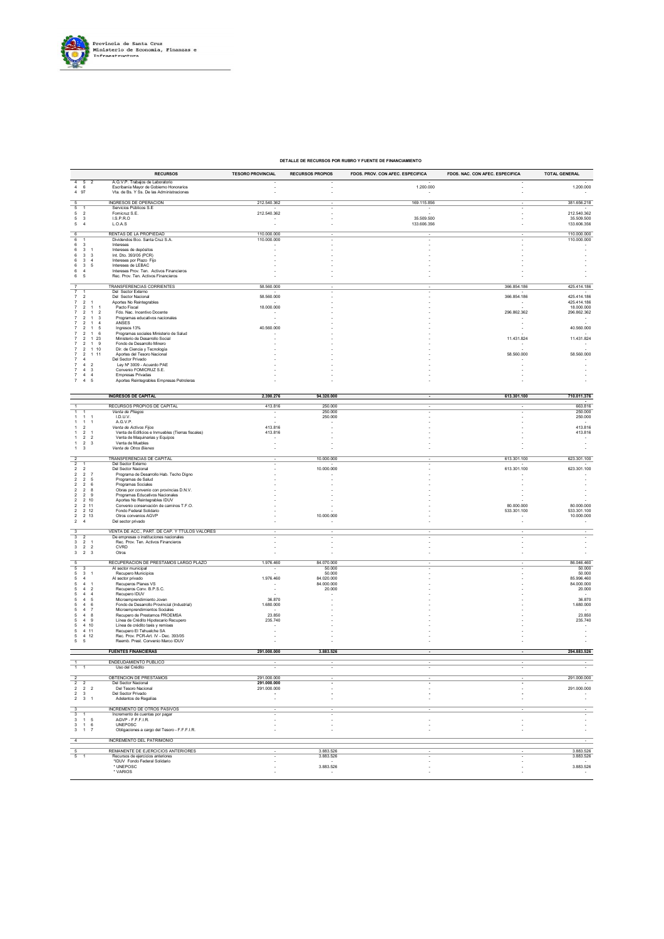

#### **DETALLE DE RECURSOS POR RUBRO Y FUENTE DE FINANCIAMIENTO**

|                                                                                                                             | <b>RECURSOS</b>                                                                                                          | <b>TESORO PROVINCIAL</b>   | <b>RECURSOS PROPIOS</b> | FDOS. PROV. CON AFEC. ESPECIFICA | FDOS. NAC. CON AFEC. ESPECIFICA | <b>TOTAL GENERAL</b>       |
|-----------------------------------------------------------------------------------------------------------------------------|--------------------------------------------------------------------------------------------------------------------------|----------------------------|-------------------------|----------------------------------|---------------------------------|----------------------------|
| $\overline{4}$<br>5<br>$\overline{2}$<br>4<br>6<br>4 97                                                                     | A.G.V.P. Trabajos de Laboratorio<br>Escribanía Mayor de Gobierno Honorarios<br>Vta. de Bs. Y Ss. De las Administraciones |                            |                         | 1.200.000                        |                                 | 1.200.000                  |
| 5                                                                                                                           | <b>INGRESOS DE OPERACIÓN</b>                                                                                             | 212.540.362                |                         | 169.115.856                      |                                 | 381.656.218                |
| 5<br>$\mathbf{1}$<br>5<br>$\overline{2}$                                                                                    | Servicios Públicos S.E.<br>Fomicruz S.E.                                                                                 | 212.540.362                |                         | ÷.                               |                                 | 212.540.362                |
| 5<br>$\mathsf 3$<br>$\mathbf 5$<br>$\overline{4}$                                                                           | I.S.P.R.O<br>L.O.A.S                                                                                                     | ÷                          |                         | 35.509.500<br>133.606.356        |                                 | 35.509.500<br>133.606.356  |
| 6<br>$6\overline{6}$                                                                                                        | RENTAS DE LA PROPIEDAD<br>Dividendos Bco. Santa Cruz S.A.                                                                | 110.000.000<br>110.000.000 |                         |                                  |                                 | 110.000.000<br>110.000.000 |
| 6<br>3<br>$\mathsf 3$<br>6<br>$\overline{1}$                                                                                | Intereses<br>Intereses de depósitos                                                                                      |                            |                         |                                  |                                 |                            |
| 6<br>3<br>3<br>6<br>3<br>$\overline{4}$                                                                                     | Int. Dto. 393/05 (PCR)<br>Intereses por Plazo Fijo                                                                       |                            |                         |                                  |                                 |                            |
| 5<br>6<br>3<br>6<br>$\overline{4}$                                                                                          | Intereses de LEBAC<br>Intereses Prov. Ten. Activos Financieros                                                           |                            |                         |                                  |                                 |                            |
| 6<br>5                                                                                                                      | Rec. Prov. Ten. Activos Financieros                                                                                      |                            |                         |                                  |                                 |                            |
| $\overline{7}$                                                                                                              | TRANSFERENCIAS CORRIENTES<br>Del Sector Externo                                                                          | 58.560.000                 |                         |                                  | 366.854.186                     | 425.414.186                |
| 7<br>$\overline{2}$<br>$\overline{7}$<br>$\overline{\mathbf{2}}$<br>$\overline{1}$                                          | Del Sector Nacional<br>Aportes No Reintegrables                                                                          | 58,560,000                 |                         |                                  | 366.854.186                     | 425.414.186<br>425.414.186 |
| $\overline{2}$<br>$\overline{a}$<br>$\overline{2}$                                                                          | Pacto Fiscal<br>Fdo. Nac. Incentivo Docente                                                                              | 18.000.000                 |                         |                                  | 296.862.362                     | 18.000.000<br>296.862.362  |
| $\overline{\mathbf{3}}$<br>$\overline{2}$<br>$\mathbf{1}$<br>$\overline{2}$<br>$\sqrt{4}$<br>$\overline{7}$<br>$\mathbf{1}$ | Programas educativos nacionales<br>ANSES                                                                                 | $\overline{\phantom{a}}$   |                         |                                  |                                 | $\sim$                     |
| $\overline{2}$<br>- 5<br>-1<br>$\overline{2}$<br>- 6<br>-1                                                                  | Ingresos 13%<br>Programas sociales Ministerio de Salud                                                                   | 40.560.000                 |                         |                                  |                                 | 40.560.000                 |
| $\overline{7}$<br>$\overline{2}$<br>$\overline{1}$<br>23<br>$\overline{7}$<br>$\overline{2}$<br>$\overline{1}$<br>9         | Ministerio de Desarrollo Social<br>Fondo de Desarrollo Minero                                                            |                            |                         |                                  | 11.431.824                      | 11.431.824                 |
| $\sqrt{2}$<br>10<br>$\overline{7}$<br>$\mathbf{1}$<br>$\overline{2}$<br>$\overline{1}$<br>11                                | Dir. de Ciencia y Tecnología<br>Aportes del Tesoro Nacional                                                              |                            |                         |                                  | 58.560.000                      | 58.560.000                 |
| $\overline{4}$<br>$\sqrt{4}$<br>$\sqrt{2}$                                                                                  | Del Sector Privado<br>Ley Nº 3009 - Acuerdo PAE                                                                          |                            |                         |                                  |                                 |                            |
| $\overline{\mathbf{3}}$<br>$\overline{4}$<br>$\overline{4}$<br>$\overline{4}$                                               | Convenio FOMICRUZ S.E.<br><b>Empresas Privadas</b>                                                                       |                            |                         |                                  |                                 | $\overline{\phantom{a}}$   |
| $\overline{7}$<br>$\overline{a}$<br>5                                                                                       | Aportes Reintegrables Empresas Petroleras                                                                                |                            |                         |                                  |                                 |                            |
|                                                                                                                             | <b>INGRESOS DE CAPITAL</b>                                                                                               | 2.390.276                  | 94.320.000              |                                  | 613.301.100                     | 710.011.376                |
|                                                                                                                             | RECURSOS PROPIOS DE CAPITAL                                                                                              | 413.816                    | 250.000                 |                                  |                                 | 663.816                    |
| $\overline{1}$<br>$\overline{1}$                                                                                            | Venta de Pliegos<br>I.D.U.V.                                                                                             | $\overline{\phantom{a}}$   | 250.000<br>250.000      |                                  |                                 | 250.000<br>250.000         |
| $\overline{1}$<br>$\overline{1}$<br>-1<br>$\overline{2}$                                                                    | A.G.V.P.                                                                                                                 | 413.816                    |                         |                                  |                                 | 413.816                    |
| $\overline{1}$<br>$\overline{2}$<br>$\overline{1}$<br>$\overline{\mathbf{2}}$                                               | Venta de Activos Fijos<br>Venta de Edificios e Inmuebles (Tierras fiscales)                                              | 413.816                    |                         |                                  |                                 | 413.816                    |
| $\boldsymbol{2}$<br>$\sqrt{2}$<br>$\mathsf 3$<br>$\mathbf{1}$                                                               | Venta de Maquinarias y Equipos<br>Venta de Muebles<br>Venta de Otros Bienes                                              |                            |                         |                                  |                                 |                            |
| $1 \quad 3$                                                                                                                 | TRANSFERENCIAS DE CAPITAL                                                                                                |                            | 10.000.000              |                                  | 613.301.100                     | $\sim$                     |
| $\frac{2}{2}$                                                                                                               | Del Sector Externo                                                                                                       |                            |                         |                                  |                                 | 623.301.100                |
| $\overline{\mathbf{c}}$<br>$\overline{2}$<br>$\overline{\mathbf{c}}$<br>$\overline{\mathbf{z}}$<br>$\overline{7}$           | Del Sector Nacional<br>Programa de Desarrollo Hab. Techo Digno                                                           |                            | 10.000.000              |                                  | 613.301.100                     | 623.301.100                |
| $\sqrt{2}$<br>$\overline{\mathbf{2}}$<br>5<br>$\overline{\mathbf{2}}$<br>$\overline{\mathbf{2}}$<br>6                       | Programas de Salud<br>Programas Sociales                                                                                 |                            |                         |                                  |                                 |                            |
| $\overline{2}$<br>$\overline{2}$<br>8<br>9<br>$\overline{2}$<br>$\overline{\mathbf{2}}$                                     | Obras por convenio con provincias D.N.V.<br>Programas Educativos Nacionales                                              |                            |                         |                                  |                                 |                            |
| 2 10<br>$\overline{2}$<br>$\overline{2}$<br>2 11                                                                            | Aportes No Reintegrables IDUV<br>Convenio conservación de caminos T.F.O.                                                 |                            |                         |                                  | 80,000,000                      | 80.000.000                 |
| $\overline{\mathbf{c}}$<br>2 12<br>$\overline{2}$<br>2 13                                                                   | Fondo Federal Solidario<br>Otros convenios AGVP                                                                          |                            | 10.000.000              |                                  | 533.301.100                     | 533.301.100<br>10.000.000  |
| $\overline{a}$<br>$\sqrt{4}$                                                                                                | Del sector privado                                                                                                       |                            |                         |                                  |                                 |                            |
| 3<br>$\overline{\mathbf{3}}$<br>$\overline{2}$                                                                              | VENTA DE ACC., PART. DE CAP. Y TTULOS VALORES<br>De empresas o instituciones nacionales                                  |                            |                         |                                  |                                 |                            |
| 3<br>$\frac{2}{2}$<br>$\overline{1}$<br>$\overline{2}$<br>3                                                                 | Rec. Prov. Ten. Activos Financieros<br><b>CVRD</b>                                                                       |                            |                         |                                  |                                 |                            |
| $3\qquad 2\quad 3$<br>5                                                                                                     | Otros<br>RECUPERACIÓN DE PRESTAMOS LARGO PLAZO                                                                           | 1.976.460                  | 84.070.000              |                                  |                                 | 86.046.460                 |
| $\overline{5}$<br>$\,$ 5 $\,$<br>$\mathbf{3}$<br>$\overline{1}$                                                             | Al sector municipal                                                                                                      |                            | 50.000<br>50.000        |                                  |                                 | 50.000<br>50.000           |
| 5<br>$\overline{4}$<br>5                                                                                                    | Recupero Municipios<br>Al sector privado                                                                                 | 1.976.460                  | 84.020.000              |                                  |                                 | 85.996.460                 |
| 5<br>$\overline{4}$<br>$\overline{2}$                                                                                       | Recuperos Planes VS<br>Recuperos Conv. B.P.S.C.                                                                          | $\sim$                     | 84.000.000<br>20.000    |                                  |                                 | 84.000.000<br>20.000       |
| -4<br>5<br>5<br>5<br>$\overline{a}$<br>6<br>5<br>$\overline{a}$                                                             | Recupero IDUV<br>Microemprendimiento Joven<br>Fondo de Desarrollo Provincial (Industrial)                                | 36,870<br>1.680.000        |                         |                                  |                                 | 36.870                     |
|                                                                                                                             | Microemprendimientos Sociales                                                                                            |                            |                         |                                  |                                 | 1.680.000                  |
| $\overline{4}$<br>8<br>9<br>$\overline{4}$<br>5                                                                             | Recupero de Prestamos PROEMSA<br>Línea de Crédito Hipotecario Recupero                                                   | 23.850<br>235.740          |                         |                                  |                                 | 23.850<br>235.740          |
| 4 10<br>5<br>4 11<br>5                                                                                                      | Línea de crédito taxis y remises<br>Recupero El Tehuelche SA                                                             |                            |                         |                                  |                                 |                            |
| 5<br>4 12<br>5<br>5                                                                                                         | Rec. Prov. PCR-Art. IV - Dec. 393/05<br>Reemb. Prest. Convenio Marco IDUV                                                | ٠                          |                         |                                  |                                 |                            |
|                                                                                                                             | <b>FUENTES FINANCIERAS</b>                                                                                               | 291.000.000                | 3.883.526               |                                  |                                 | 294.883.526                |
|                                                                                                                             | ENDEUDAMIENTO PÚBLICO                                                                                                    |                            |                         |                                  |                                 |                            |
|                                                                                                                             | Uso del Crédito<br>OBTENCIÓN DE PRÉSTAMOS                                                                                | 291.000.000                |                         |                                  |                                 | 291.000.000                |
|                                                                                                                             | Del Sector Nacional<br>Del Tesoro Nacional                                                                               | 291.000.000                |                         |                                  |                                 |                            |
| $2 \quad 3$                                                                                                                 | Del Sector Privado                                                                                                       | 291.000.000<br>÷.          |                         |                                  |                                 | 291.000.000                |
| $2 \qquad 3 \qquad 1$                                                                                                       | Adelantos de Regalías                                                                                                    |                            |                         |                                  |                                 | $\overline{\phantom{a}}$   |
| $\overline{\mathbf{3}}$<br>$\overline{\mathbf{3}}$<br>$\mathbf{1}$<br>$3 \qquad 1 \qquad 5$                                 | <b>INCREMENTO DE OTROS PASIVOS</b><br>Incremento de cuentas por pagar<br>AGVP - F.F.F.I.R.                               |                            |                         | ×                                |                                 |                            |
| $3 \quad 1 \quad 6$                                                                                                         | UNEPOSC                                                                                                                  |                            |                         |                                  |                                 |                            |
| $3 \qquad 1 \qquad 7$                                                                                                       | Obligaciones a cargo del Tesoro - F.F.F.I.R.<br>INCREMENTO DEL PATRIMONIO                                                |                            |                         |                                  |                                 |                            |
| $\overline{4}$<br>$\overline{5}$                                                                                            | REMANENTE DE EJERCICIOS ANTERIORES                                                                                       |                            | 3.883.526               |                                  |                                 | 3.883.526                  |
| $\overline{5}$                                                                                                              | Recursos de ejercicios anteriores<br>*IDUV Fondo Federal Solidario                                                       |                            | 3.883.526               |                                  |                                 | 3.883.526                  |
|                                                                                                                             | * UNEPOSC<br>* VARIOS                                                                                                    |                            | 3.883.526               |                                  |                                 | 3.883.526                  |
|                                                                                                                             |                                                                                                                          |                            |                         |                                  |                                 |                            |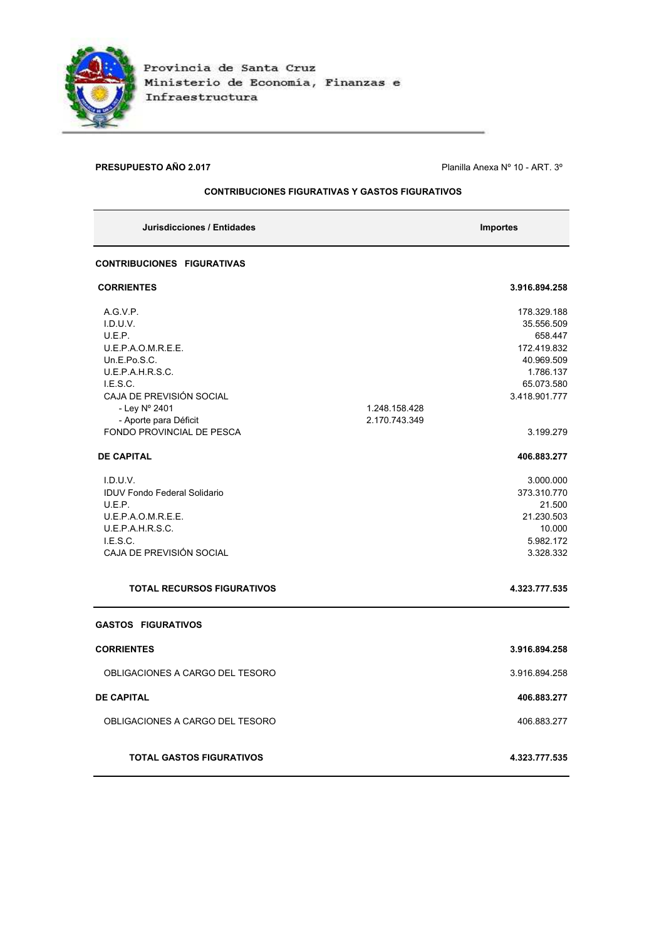

## **PRESUPUESTO AÑO 2.017 PRESUPUESTO AÑO 2.017 Planilla Anexa N° 10 - ART. 3°**

## **CONTRIBUCIONES FIGURATIVAS Y GASTOS FIGURATIVOS**

| Jurisdicciones / Entidades          |               | <b>Importes</b>         |
|-------------------------------------|---------------|-------------------------|
| <b>CONTRIBUCIONES FIGURATIVAS</b>   |               |                         |
| <b>CORRIENTES</b>                   |               | 3.916.894.258           |
| A.G.V.P.                            |               | 178.329.188             |
| I.D.U.V.                            |               | 35.556.509              |
| U.E.P.                              |               | 658.447                 |
| U.E.P.A.O.M.R.E.E.<br>Un.E.Po.S.C.  |               | 172.419.832             |
| U.E.P.A.H.R.S.C.                    |               | 40.969.509<br>1.786.137 |
| LE.S.C.                             |               | 65.073.580              |
| CAJA DE PREVISIÓN SOCIAL            |               | 3.418.901.777           |
| - Ley Nº 2401                       | 1.248.158.428 |                         |
| - Aporte para Déficit               | 2.170.743.349 |                         |
| FONDO PROVINCIAL DE PESCA           |               | 3.199.279               |
| <b>DE CAPITAL</b>                   |               | 406.883.277             |
| I.D.U.V.                            |               | 3.000.000               |
| <b>IDUV Fondo Federal Solidario</b> |               | 373.310.770             |
| U.E.P.                              |               | 21.500                  |
| U.E.P.A.O.M.R.E.E.                  |               | 21.230.503              |
| U.E.P.A.H.R.S.C.                    |               | 10.000                  |
| LE.S.C.                             |               | 5.982.172               |
| CAJA DE PREVISIÓN SOCIAL            |               | 3.328.332               |
| <b>TOTAL RECURSOS FIGURATIVOS</b>   |               | 4.323.777.535           |
| <b>GASTOS FIGURATIVOS</b>           |               |                         |
| <b>CORRIENTES</b>                   |               | 3.916.894.258           |
| OBLIGACIONES A CARGO DEL TESORO     |               | 3.916.894.258           |
| <b>DE CAPITAL</b>                   |               | 406.883.277             |
| OBLIGACIONES A CARGO DEL TESORO     |               | 406.883.277             |
| <b>TOTAL GASTOS FIGURATIVOS</b>     |               | 4.323.777.535           |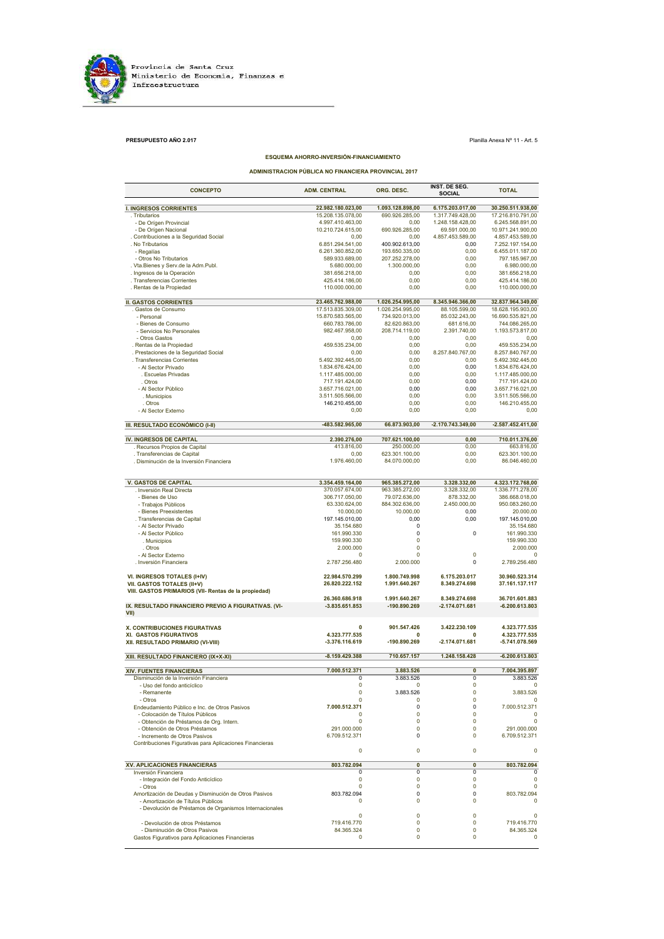

**PRESUPUESTO AÑO 2.017** Planilla Anexa № 11 - Art. 5

### **ESQUEMA AHORRO-INVERSIÓN-FINANCIAMIENTO**

**ADMINISTRACION PÚBLICA NO FINANCIERA PROVINCIAL 2017**

| <b>CONCEPTO</b>                                                              | <b>ADM. CENTRAL</b>                  | ORG. DESC.              | INST. DE SEG.<br>SOCIAL  | <b>TOTAL</b>                         |
|------------------------------------------------------------------------------|--------------------------------------|-------------------------|--------------------------|--------------------------------------|
| <b>I. INGRESOS CORRIENTES</b>                                                | 22.982.180.023,00                    | 1.093.128.898,00        | 6.175.203.017,00         | 30.250.511.938,00                    |
| . Tributarios                                                                | 15.208.135.078.00                    | 690.926.285,00          | 1.317.749.428,00         | 17.216.810.791.00                    |
| - De Orígen Provincial                                                       | 4.997.410.463,00                     | 0,00                    | 1.248.158.428.00         | 6.245.568.891,00                     |
| - De Orígen Nacional                                                         | 10.210.724.615,00                    | 690.926.285,00          | 69.591.000,00            | 10.971.241.900,00                    |
| . Contribuciones a la Seguridad Social                                       | 0,00                                 | 0,00<br>400.902.613.00  | 4.857.453.589,00         | 4.857.453.589,00                     |
| . No Tributarios<br>- Regalías                                               | 6.851.294.541,00<br>6.261.360.852,00 | 193.650.335,00          | 0,00<br>0,00             | 7.252.197.154,00<br>6.455.011.187,00 |
| - Otros No Tributarios                                                       | 589.933.689,00                       | 207.252.278,00          | 0,00                     | 797.185.967,00                       |
| . Vta.Bienes y Serv.de la Adm.Publ.                                          | 5.680.000,00                         | 1.300.000,00            | 0,00                     | 6.980.000,00                         |
| . Ingresos de la Operación                                                   | 381.656.218,00                       | 0,00                    | 0,00                     | 381.656.218,00                       |
| . Transferencias Corrientes                                                  | 425.414.186,00                       | 0,00                    | 0,00                     | 425.414.186,00                       |
| . Rentas de la Propiedad                                                     | 110.000.000,00                       | 0,00                    | 0,00                     | 110.000.000,00                       |
| <b>II. GASTOS CORRIENTES</b>                                                 | 23.465.762.988,00                    | 1.026.254.995,00        | 8.345.946.366,00         | 32.837.964.349,00                    |
| . Gastos de Consumo                                                          | 17.513.835.309,00                    | 1.026.254.995,00        | 88.105.599,00            | 18.628.195.903,00                    |
| - Personal                                                                   | 15.870.583.565,00                    | 734.920.013,00          | 85.032.243,00            | 16.690.535.821,00                    |
| - Bienes de Consumo                                                          | 660.783.786,00                       | 82.620.863,00           | 681.616,00               | 744.086.265,00                       |
| - Servicios No Personales                                                    | 982.467.958.00                       | 208.714.119,00          | 2.391.740,00             | 1.193.573.817,00                     |
| - Otros Gastos                                                               | 0,00                                 | 0,00                    | 0,00                     | 0,00                                 |
| . Rentas de la Propiedad                                                     | 459.535.234,00                       | 0,00                    | 0,00                     | 459.535.234,00                       |
| . Prestaciones de la Seguridad Social<br>. Transferencias Corrientes         | 0,00<br>5.492.392.445,00             | 0,00<br>0,00            | 8.257.840.767,00<br>0,00 | 8.257.840.767,00<br>5.492.392.445,00 |
| - Al Sector Privado                                                          | 1.834.676.424,00                     | 0,00                    | 0,00                     | 1.834.676.424,00                     |
| . Escuelas Privadas                                                          | 1.117.485.000,00                     | 0,00                    | 0,00                     | 1.117.485.000,00                     |
| . Otros                                                                      | 717.191.424,00                       | 0,00                    | 0,00                     | 717.191.424,00                       |
| - Al Sector Público                                                          | 3.657.716.021,00                     | 0,00                    | 0,00                     | 3.657.716.021,00                     |
| . Municipios                                                                 | 3.511.505.566,00                     | 0,00                    | 0,00                     | 3.511.505.566,00                     |
| . Otros                                                                      | 146.210.455,00                       | 0,00                    | 0,00                     | 146.210.455,00                       |
| - Al Sector Externo                                                          | 0.00                                 | 0,00                    | 0,00                     | 0,00                                 |
| III. RESULTADO ECONÓMICO (I-II)                                              | -483.582.965,00                      | 66.873.903,00           | $-2.170.743.349,00$      | $-2.587.452.411,00$                  |
| IV. INGRESOS DE CAPITAL                                                      | 2.390.276,00                         | 707.621.100,00          | 0,00                     | 710.011.376,00                       |
| . Recursos Propios de Capital                                                | 413.816,00                           | 250.000,00              | 0,00                     | 663.816,00                           |
| . Transferencias de Capital                                                  | 0,00                                 | 623.301.100,00          | 0,00                     | 623.301.100,00                       |
| . Disminución de la Inversión Financiera                                     | 1.976.460.00                         | 84.070.000,00           | 0,00                     | 86.046.460,00                        |
|                                                                              |                                      |                         |                          |                                      |
| <b>V. GASTOS DE CAPITAL</b>                                                  | 3.354.459.164,00                     | 965.385.272,00          | 3.328.332,00             | 4.323.172.768,00                     |
| . Inversión Real Directa                                                     | 370.057.674,00                       | 963.385.272,00          | 3.328.332,00             | 1.336.771.278,00                     |
| - Bienes de Uso                                                              | 306.717.050,00                       | 79.072.636,00           | 878.332,00               | 386.668.018,00                       |
| - Trabajos Públicos                                                          | 63.330.624,00                        | 884.302.636,00          | 2.450.000,00             | 950.083.260,00                       |
| - Bienes Preexistentes<br>. Transferencias de Capital                        | 10.000,00<br>197.145.010,00          | 10.000,00<br>0,00       | 0,00<br>0,00             | 20.000,00                            |
| - Al Sector Privado                                                          | 35.154.680                           | 0                       |                          | 197.145.010,00<br>35.154.680         |
| - Al Sector Público                                                          | 161.990.330                          | 0                       | 0                        | 161.990.330                          |
| . Municipios                                                                 | 159.990.330                          | $\mathbf 0$             |                          | 159.990.330                          |
| . Otros                                                                      | 2.000.000                            | 0                       |                          | 2.000.000                            |
| - Al Sector Externo                                                          | $\Omega$                             | $\Omega$                | 0                        | $\Omega$                             |
| . Inversión Financiera                                                       | 2.787.256.480                        | 2.000.000               | 0                        | 2.789.256.480                        |
| VI. INGRESOS TOTALES (I+IV)                                                  | 22.984.570.299                       | 1.800.749.998           | 6.175.203.017            | 30.960.523.314                       |
| VII. GASTOS TOTALES (II+V)                                                   | 26.820.222.152                       | 1.991.640.267           | 8.349.274.698            | 37.161.137.117                       |
| VIII. GASTOS PRIMARIOS (VII- Rentas de la propiedad)                         | 26.360.686.918                       | 1.991.640.267           | 8.349.274.698            | 36.701.601.883                       |
| IX. RESULTADO FINANCIERO PREVIO A FIGURATIVAS. (VI-                          | $-3.835.651.853$                     | -190.890.269            | -2.174.071.681           | $-6.200.613.803$                     |
| VII)                                                                         |                                      |                         |                          |                                      |
| X. CONTRIBUCIONES FIGURATIVAS<br>XI. GASTOS FIGURATIVOS                      | $\mathbf 0$<br>4.323.777.535         | 901.547.426<br>0        | 3.422.230.109<br>0       | 4.323.777.535<br>4.323.777.535       |
| XII. RESULTADO PRIMARIO (VI-VIII)                                            | $-3.376.116.619$                     | -190.890.269            | -2.174.071.681           | -5.741.078.569                       |
| XIII. RESULTADO FINANCIERO (IX+X-XI)                                         | $-8.159.429.388$                     | 710.657.157             | 1.248.158.428            | $-6.200.613.803$                     |
| XIV. FUENTES FINANCIERAS                                                     | 7.000.512.371                        | 3.883.526               | $\overline{\mathbf{0}}$  | 7.004.395.897                        |
| Disminución de la Inversión Financiera                                       | 0                                    | 3.883.526               | 0                        | 3.883.526                            |
| - Uso del fondo anticiclico                                                  | 0                                    | υ                       | 0                        |                                      |
| - Remanente                                                                  | 0                                    | 3.883.526               | 0                        | 3.883.526                            |
| - Otros                                                                      | 0                                    | 0                       | 0                        |                                      |
| Endeudamiento Público e Inc. de Otros Pasivos                                | 7.000.512.371<br>$\Omega$            | 0<br>$\Omega$           | 0<br>$\Omega$            | 7.000.512.371<br>$\Omega$            |
| - Colocación de Títulos Públicos<br>- Obtención de Préstamos de Org. Intern. | 0                                    | 0                       | 0                        | 0                                    |
| - Obtención de Otros Préstamos                                               | 291.000.000                          | $\Omega$                | $\Omega$                 | 291.000.000                          |
| - Incremento de Otros Pasivos                                                | 6.709.512.371                        | 0                       | 0                        | 6.709.512.371                        |
| Contribuciones Figurativas para Aplicaciones Financieras                     |                                      |                         |                          |                                      |
|                                                                              | 0                                    | 0                       | 0                        | 0                                    |
| <b>XV. APLICACIONES FINANCIERAS</b>                                          | 803.782.094                          | $\overline{\mathbf{0}}$ | $\overline{\mathbf{0}}$  | 803.782.094                          |
| Inversión Financiera                                                         | $\Omega$                             | 0                       | 0                        |                                      |
| - Integración del Fondo Anticíclico                                          | $\mathbf 0$                          | $\mathbf 0$             | 0                        | $\mathbf 0$                          |
| - Otros<br>Amortización de Deudas y Disminución de Otros Pasivos             | $\mathbf 0$<br>803.782.094           | 0<br>0                  | 0<br>0                   | $\mathbf 0$<br>803.782.094           |
| - Amortización de Títulos Públicos                                           | $\Omega$                             | $\Omega$                | $\Omega$                 | 0                                    |
| - Devolución de Préstamos de Organismos Internacionales                      |                                      |                         |                          |                                      |
|                                                                              | 0                                    | 0                       | 0                        | $\Omega$                             |
| - Devolución de otros Préstamos                                              | 719.416.770                          | $\mathbf 0$             | 0                        | 719.416.770                          |
| - Disminución de Otros Pasivos                                               | 84.365.324                           | 0                       | 0                        | 84.365.324                           |
| Gastos Figurativos para Aplicaciones Financieras                             | 0                                    | 0                       | 0                        | 0                                    |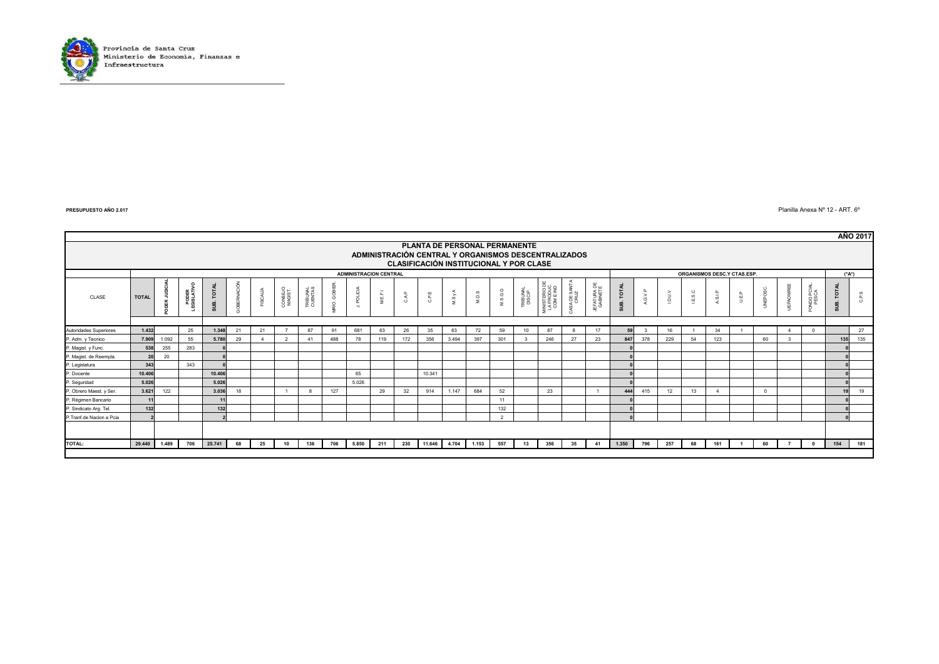

Planilla Anexa Nº 12 - ART. 6º

|                          |                                                                                                                                  |       |                    |                      |             |          |                    |                     |                  |                               |         |               |              |              |       |                |                     |                                        |                       |                         |            |              |      |         |         |                            |          |                |                   |                         | <b>AÑO 2017</b>         |
|--------------------------|----------------------------------------------------------------------------------------------------------------------------------|-------|--------------------|----------------------|-------------|----------|--------------------|---------------------|------------------|-------------------------------|---------|---------------|--------------|--------------|-------|----------------|---------------------|----------------------------------------|-----------------------|-------------------------|------------|--------------|------|---------|---------|----------------------------|----------|----------------|-------------------|-------------------------|-------------------------|
|                          | PLANTA DE PERSONAL PERMANENTE<br>ADMINISTRACIÓN CENTRAL Y ORGANISMOS DESCENTRALIZADOS<br>CLASIFICACIÓN INSTITUCIONAL Y POR CLASE |       |                    |                      |             |          |                    |                     |                  |                               |         |               |              |              |       |                |                     |                                        |                       |                         |            |              |      |         |         |                            |          |                |                   |                         |                         |
|                          |                                                                                                                                  |       |                    |                      |             |          |                    |                     |                  | <b>ADMINISTRACION CENTRAL</b> |         |               |              |              |       |                |                     |                                        |                       |                         |            |              |      |         |         | ORGANISMOS DESC.Y CTAS.ESP |          |                |                   | (*A*)                   |                         |
| CLASE                    | <b>TOTAL</b>                                                                                                                     |       | PODER<br>:GISLATIV | <b>TOTAL</b><br>SUB. | GOBERNACIÓN | FISCALÍA | CONSEJO<br>MAGIST. | TRIBUNAL<br>CUENTAS | <b>RIO. GOBI</b> | POLICIA<br>$\rightarrow$      | M.E.F.J | $_{\rm{CAP}}$ | $_{\rm CPE}$ | MSy          | M.D.S | M.S.G.G        | TRIBUNAL<br>DISCIP. | IINISTERIO D<br>LA PRODUC<br>COM E IND | CASA DE SANTA<br>CRUZ | JEFATURA DE<br>GABINETE | SUB. TOTAL | G.V.P        | rony | I.E.S.C | A.S.I.P | U.E.P                      | UNEPOSC. | ⊕              | VDO PCIJ<br>PESCA | TOTAL<br>$\overline{a}$ | $\mathbf{a}$<br>$\circ$ |
|                          |                                                                                                                                  |       |                    |                      |             |          |                    |                     |                  |                               |         |               |              |              |       |                |                     |                                        |                       |                         |            |              |      |         |         |                            |          |                |                   |                         |                         |
| Autoridades Superiores   | 1.432                                                                                                                            |       | 25                 | 1.348                | 21          | 21       |                    | 87                  | 91               | 681                           | 63      | 26            | 35           | 63           | 72    | 59             | 10                  | 87                                     |                       | 17                      | 59         | $\mathbf{R}$ | 16   |         | 34      |                            |          | $\Delta$       | $\Omega$          |                         | 27                      |
| P. Adm. y Tecnico        | 7.909                                                                                                                            | 1.092 | 55                 | 5.780                | 29          |          | $\overline{2}$     |                     | 488              | 78                            | 119     | 172           | 356          | 3.494        | 397   | 301            |                     | 246                                    | 27                    | 23                      | 847        | 378          | 229  | 54      | 123     |                            | 60       |                |                   | 135                     | 135                     |
| P. Magist. y Func.       | 538                                                                                                                              | 255   | 283                |                      |             |          |                    |                     |                  |                               |         |               |              |              |       |                |                     |                                        |                       |                         |            |              |      |         |         |                            |          |                |                   |                         |                         |
| P. Magist. de Reempla    | 20                                                                                                                               | 20    |                    |                      |             |          |                    |                     |                  |                               |         |               |              |              |       |                |                     |                                        |                       |                         |            |              |      |         |         |                            |          |                |                   |                         |                         |
| P. Legislatura           | 343                                                                                                                              |       | 343                |                      |             |          |                    |                     |                  |                               |         |               |              |              |       |                |                     |                                        |                       |                         |            |              |      |         |         |                            |          |                |                   |                         |                         |
| P. Docente               | 10,406                                                                                                                           |       |                    | 10,406               |             |          |                    |                     |                  | 65                            |         |               | 10.341       |              |       |                |                     |                                        |                       |                         |            |              |      |         |         |                            |          |                |                   |                         |                         |
| P. Seguridad             | 5.026                                                                                                                            |       |                    | 5.026                |             |          |                    |                     |                  | 5.026                         |         |               |              |              |       |                |                     |                                        |                       |                         |            |              |      |         |         |                            |          |                |                   |                         |                         |
| P. Obrero Maest. y Ser.  | 3.621                                                                                                                            | 122   |                    | 3.036                | 18          |          |                    |                     | 127              |                               | 29      | 32            | 914          | 1.147        | 684   | 52             |                     | 23                                     |                       |                         | 444        | 415          | 12   | 13      |         |                            | $\Omega$ |                |                   | 19                      | 19                      |
| P. Régimen Bancario      |                                                                                                                                  |       |                    | 11                   |             |          |                    |                     |                  |                               |         |               |              |              |       | 11             |                     |                                        |                       |                         |            |              |      |         |         |                            |          |                |                   |                         |                         |
| P. Sindicato Arg. Tel.   | 132                                                                                                                              |       |                    | 132                  |             |          |                    |                     |                  |                               |         |               |              |              |       | 132            |                     |                                        |                       |                         |            |              |      |         |         |                            |          |                |                   |                         |                         |
| P.Tranf.de Nacion a Pcia |                                                                                                                                  |       |                    |                      |             |          |                    |                     |                  |                               |         |               |              |              |       | $\overline{2}$ |                     |                                        |                       |                         |            |              |      |         |         |                            |          |                |                   |                         |                         |
|                          |                                                                                                                                  |       |                    |                      |             |          |                    |                     |                  |                               |         |               |              |              |       |                |                     |                                        |                       |                         |            |              |      |         |         |                            |          |                |                   |                         |                         |
| <b>TOTAL:</b>            | 29.440                                                                                                                           | 1.489 | 706                | 25.741               | 68          | 25       | 10                 | 136                 | 706              | 5.850                         | 211     | 230           |              | 11.646 4.704 | 1.153 | 557            | 13                  | 356                                    | 35                    | 41                      | 1.350      | 796          | 257  | 68      | 161     |                            | 60       | $\overline{7}$ | $\mathbf{0}$      | 154                     | 181                     |
|                          |                                                                                                                                  |       |                    |                      |             |          |                    |                     |                  |                               |         |               |              |              |       |                |                     |                                        |                       |                         |            |              |      |         |         |                            |          |                |                   |                         |                         |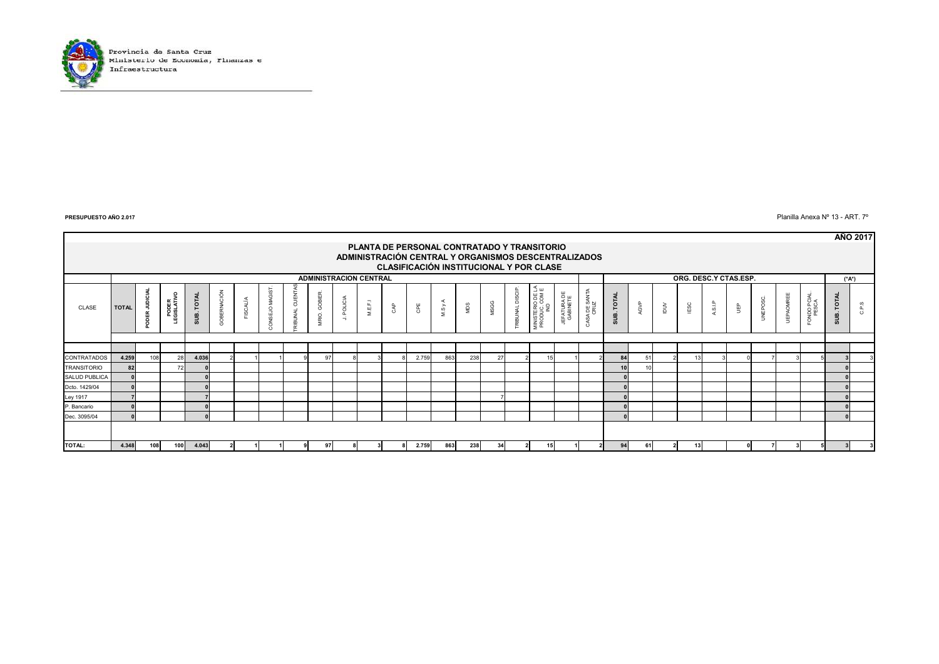

Planilla Anexa Nº 13 - ART. 7º

|                    |                                                                                                 |                                              |                                 |            |                                          |          |                   |                      |                               |                          |         |     |                                             |       |     |      |                |                                          |                         |                       |                      |      |                |      |                       |   |          |                  |                     |            | <b>AÑO 2017</b> |
|--------------------|-------------------------------------------------------------------------------------------------|----------------------------------------------|---------------------------------|------------|------------------------------------------|----------|-------------------|----------------------|-------------------------------|--------------------------|---------|-----|---------------------------------------------|-------|-----|------|----------------|------------------------------------------|-------------------------|-----------------------|----------------------|------|----------------|------|-----------------------|---|----------|------------------|---------------------|------------|-----------------|
|                    |                                                                                                 |                                              |                                 |            |                                          |          |                   |                      |                               |                          |         |     | PLANTA DE PERSONAL CONTRATADO Y TRANSITORIO |       |     |      |                |                                          |                         |                       |                      |      |                |      |                       |   |          |                  |                     |            |                 |
|                    | ADMINISTRACIÓN CENTRAL Y ORGANISMOS DESCENTRALIZADOS<br>CLASIFICACIÓN INSTITUCIONAL Y POR CLASE |                                              |                                 |            |                                          |          |                   |                      |                               |                          |         |     |                                             |       |     |      |                |                                          |                         |                       |                      |      |                |      |                       |   |          |                  |                     |            |                 |
|                    |                                                                                                 |                                              |                                 |            |                                          |          |                   |                      |                               |                          |         |     |                                             |       |     |      |                |                                          |                         |                       |                      |      |                |      |                       |   |          |                  |                     |            |                 |
|                    |                                                                                                 |                                              |                                 |            |                                          |          |                   |                      | <b>ADMINISTRACION CENTRAL</b> |                          |         |     |                                             |       |     |      |                |                                          |                         |                       |                      |      |                |      | ORG. DESC.Y CTAS.ESP. |   |          |                  |                     | (*A*)      |                 |
| CLASE              | <b>TOTAL</b>                                                                                    | $\overline{ }$<br>$\Omega$<br>$\overline{ }$ | $\circ$<br>PODER<br>LEGISLATIVO | SUB. TOTAL | $\overline{ }$<br><b>DBERNACIÓ</b><br>0) | FISCALÍA | Sig<br>₹<br>ISEJO | CUEN<br><b>BUNAL</b> | GOBIER.<br>MRIO.              | POLICIA<br>$\rightarrow$ | M.E.F.1 | CAP | CPE                                         | M.S y | NDS | MSGG | RIBUNAL DISCIP | MINISTERIO DE LA<br>PRODUC, COM E<br>IND | JEFATURA DE<br>GABINETE | CASA DE SANTA<br>CRUZ | <b>TOTAL</b><br>sus. | AGVP | $\geq$         | IESC | ASLP                  | ₽ | UNEPOSC. | <b>UEPAOMREE</b> | ONDO PCIAL<br>PESCA | SUB. TOTAL | C.P.S           |
|                    |                                                                                                 |                                              |                                 |            |                                          |          |                   |                      |                               |                          |         |     |                                             |       |     |      |                |                                          |                         |                       |                      |      |                |      |                       |   |          |                  |                     |            |                 |
|                    |                                                                                                 |                                              |                                 |            |                                          |          |                   |                      |                               |                          |         |     |                                             |       |     |      |                |                                          |                         |                       |                      |      |                |      |                       |   |          |                  |                     |            |                 |
| CONTRATADOS        | 4.259                                                                                           | 108                                          | 28                              | 4.036      |                                          |          |                   |                      | 97                            |                          |         |     | 2.759                                       | 863   | 238 | 27   |                |                                          |                         |                       | 84                   |      |                |      |                       |   |          |                  |                     |            |                 |
| <b>TRANSITORIO</b> | 82                                                                                              |                                              | 72                              |            |                                          |          |                   |                      |                               |                          |         |     |                                             |       |     |      |                |                                          |                         |                       |                      |      |                |      |                       |   |          |                  |                     |            |                 |
| SALUD PUBLICA      |                                                                                                 |                                              |                                 |            |                                          |          |                   |                      |                               |                          |         |     |                                             |       |     |      |                |                                          |                         |                       |                      |      |                |      |                       |   |          |                  |                     |            |                 |
| Dcto. 1429/04      |                                                                                                 |                                              |                                 |            |                                          |          |                   |                      |                               |                          |         |     |                                             |       |     |      |                |                                          |                         |                       |                      |      |                |      |                       |   |          |                  |                     |            |                 |
| Ley 1917           |                                                                                                 |                                              |                                 |            |                                          |          |                   |                      |                               |                          |         |     |                                             |       |     |      |                |                                          |                         |                       |                      |      |                |      |                       |   |          |                  |                     |            |                 |
| P. Bancario        |                                                                                                 |                                              |                                 |            |                                          |          |                   |                      |                               |                          |         |     |                                             |       |     |      |                |                                          |                         |                       |                      |      |                |      |                       |   |          |                  |                     |            |                 |
| Dec. 3095/04       |                                                                                                 |                                              |                                 |            |                                          |          |                   |                      |                               |                          |         |     |                                             |       |     |      |                |                                          |                         |                       |                      |      |                |      |                       |   |          |                  |                     |            |                 |
|                    |                                                                                                 |                                              |                                 |            |                                          |          |                   |                      |                               |                          |         |     |                                             |       |     |      |                |                                          |                         |                       |                      |      |                |      |                       |   |          |                  |                     |            |                 |
| <b>TOTAL:</b>      | 4.348                                                                                           | 108                                          | 100                             | 4.043      |                                          |          |                   |                      | 97                            |                          |         |     | 2.759                                       | 863   | 238 | 34   | 21             | 15                                       |                         |                       | 94                   | 61   | $\overline{2}$ | 13   |                       |   | 7        |                  |                     |            |                 |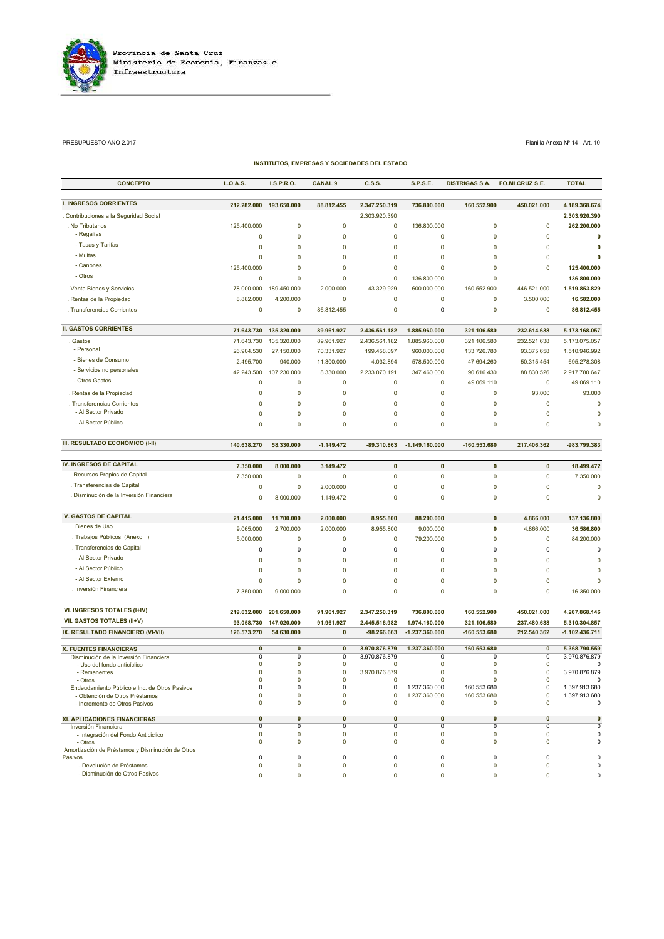

### PRESUPUESTO AÑO 2.017 Planilla Anexa Nº 14 - Art. 10

| <b>CONCEPTO</b>                                             | L.O.A.S.                      | I.S.P.R.O.       | <b>CANAL 9</b>             | C.S.S.                   | <b>S.P.S.E.</b>  | <b>DISTRIGAS S.A.</b> | FO.MI.CRUZ S.E.                    | <b>TOTAL</b>             |
|-------------------------------------------------------------|-------------------------------|------------------|----------------------------|--------------------------|------------------|-----------------------|------------------------------------|--------------------------|
| <b>I. INGRESOS CORRIENTES</b>                               | 212.282.000                   | 193.650.000      | 88.812.455                 | 2.347.250.319            | 736.800.000      | 160.552.900           | 450.021.000                        | 4.189.368.674            |
| Contribuciones a la Seguridad Social                        |                               |                  |                            | 2.303.920.390            |                  |                       |                                    | 2.303.920.390            |
| . No Tributarios                                            | 125.400.000                   | $\mathbf 0$      | $\mathbf 0$                | $\pmb{0}$                | 136.800.000      |                       | $\pmb{0}$<br>0                     | 262.200.000              |
| - Regalías                                                  | 0                             | $\mathbf 0$      | $\mathbf 0$                | $\mathbf 0$              | 0                |                       | $\mathbf 0$<br>$\mathbf 0$         | $\mathbf 0$              |
| - Tasas y Tarifas                                           | $\mathbf 0$                   | 0                | $\mathbf 0$                | $\pmb{0}$                | $\mathbf 0$      |                       | $\mathbf 0$<br>$\pmb{0}$           | 0                        |
| - Multas                                                    | $\overline{0}$                | 0                | 0                          | $\mathbf 0$              | 0                |                       | 0<br>0                             | $\mathbf 0$              |
| - Canones                                                   | 125.400.000                   | 0                | 0                          | $\mathbf 0$              | 0                |                       | 0<br>0                             | 125.400.000              |
| - Otros                                                     | 0                             | $\mathbf 0$      | $\mathbf 0$                | $\mathbf 0$              | 136.800.000      |                       | $\mathbf 0$                        | 136.800.000              |
| . Venta. Bienes y Servicios                                 | 78.000.000                    | 189.450.000      | 2.000.000                  | 43.329.929               | 600.000.000      | 160.552.900           | 446.521.000                        | 1.519.853.829            |
| . Rentas de la Propiedad                                    | 8.882.000                     | 4.200.000        | 0                          | $\pmb{0}$                | 0                |                       | 0<br>3.500.000                     | 16.582.000               |
| . Transferencias Corrientes                                 | 0                             | 0                | 86.812.455                 | $\mathbf 0$              | 0                |                       | 0<br>0                             | 86.812.455               |
| <b>II. GASTOS CORRIENTES</b>                                | 71.643.730                    | 135.320.000      | 89.961.927                 | 2.436.561.182            | 1.885.960.000    | 321.106.580           | 232.614.638                        | 5.173.168.057            |
| . Gastos                                                    | 71.643.730                    | 135.320.000      | 89.961.927                 | 2.436.561.182            | 1.885.960.000    | 321.106.580           | 232.521.638                        | 5.173.075.057            |
| - Personal                                                  | 26.904.530                    | 27.150.000       | 70.331.927                 | 199.458.097              | 960.000.000      | 133.726.780           | 93.375.658                         | 1.510.946.992            |
| - Bienes de Consumo                                         | 2.495.700                     | 940.000          | 11.300.000                 | 4.032.894                | 578.500.000      | 47.694.260            | 50.315.454                         | 695.278.308              |
| - Servicios no personales                                   | 42.243.500                    | 107.230.000      | 8.330.000                  | 2.233.070.191            | 347.460.000      | 90.616.430            | 88.830.526                         | 2.917.780.647            |
| - Otros Gastos                                              | $\mathbf 0$                   | $\mathbf 0$      | $\mathbf 0$                | $\mathbf 0$              | $\mathbf 0$      | 49.069.110            | $\pmb{0}$                          | 49.069.110               |
| . Rentas de la Propiedad                                    | $\mathbf 0$                   | 0                | 0                          | $\mathbf 0$              | 0                |                       | 0<br>93.000                        | 93.000                   |
| . Transferencias Corrientes                                 | $\Omega$                      | $\mathbf 0$      | $\mathbf 0$                | $\mathbf 0$              | $\mathbf 0$      |                       | $\mathbf 0$<br>$\mathbf 0$         | $\mathbf 0$              |
| - Al Sector Privado                                         | $\mathbf 0$                   | $\mathbf 0$      | $\mathbf 0$                | $\mathbf 0$              | $\mathbf 0$      |                       | $\mathbf 0$<br>$\mathbf 0$         | $\mathbf 0$              |
| - Al Sector Público                                         | $\Omega$                      | $\mathbf 0$      | $\mathbf 0$                | $\mathbf 0$              | $\mathbf 0$      |                       | $\mathbf 0$<br>$\mathbf 0$         | $\overline{0}$           |
| III. RESULTADO ECONÓMICO (I-II)                             | 140.638.270                   | 58.330.000       | $-1.149.472$               | -89.310.863              | $-1.149.160.000$ | -160.553.680          | 217.406.362                        | -983.799.383             |
| <b>IV. INGRESOS DE CAPITAL</b>                              | 7.350.000                     | 8.000.000        | 3.149.472                  | $\pmb{0}$                | $\pmb{0}$        |                       | $\pmb{0}$<br>$\pmb{0}$             | 18.499.472               |
| . Recursos Propios de Capital                               | 7.350.000                     | 0                | $\mathbf 0$                | $\pmb{0}$                | $\mathbf 0$      |                       | $\pmb{0}$<br>$\pmb{0}$             | 7.350.000                |
| . Transferencias de Capital                                 | 0                             | 0                | 2.000.000                  | $\mathbf 0$              | 0                |                       | $\mathbf 0$<br>0                   | $\mathbf 0$              |
| . Disminución de la Inversión Financiera                    | 0                             | 8.000.000        | 1.149.472                  | $\mathbf 0$              | 0                |                       | $\mathbf 0$<br>$\mathbf 0$         | $\mathbf 0$              |
| <b>V. GASTOS DE CAPITAL</b>                                 | 21.415.000                    | 11.700.000       | 2.000.000                  | 8.955.800                | 88.200.000       |                       | $\pmb{0}$<br>4.866.000             | 137.136.800              |
| .Bienes de Uso                                              | 9.065.000                     | 2.700.000        | 2.000.000                  | 8.955.800                | 9.000.000        |                       | 0<br>4.866.000                     | 36.586.800               |
| . Trabajos Públicos (Anexo )                                | 5.000.000                     | 0                | $\mathbf 0$                | $\pmb{0}$                | 79.200.000       |                       | $\mathbf 0$<br>$\mathbf 0$         | 84.200.000               |
| . Transferencias de Capital                                 | 0                             | 0                | $\mathbf 0$                | 0                        | 0                |                       | 0<br>0                             | $\pmb{0}$                |
| - Al Sector Privado                                         | $\mathbf 0$                   | 0                | $\mathbf 0$                | $\mathbf 0$              | $\overline{0}$   |                       | $\mathbf 0$<br>$\mathbf 0$         | $\mathbf 0$              |
| - Al Sector Público                                         | 0                             | 0                | $\mathbf 0$                | $\mathbf 0$              | 0                |                       | $\mathbf 0$<br>0                   | $\mathbf 0$              |
| - Al Sector Externo                                         | $\Omega$                      | $\mathbf 0$      | $\mathbf 0$                | $\mathbf 0$              | $\mathbf 0$      |                       | $\mathbf 0$<br>$\mathbf 0$         | 0                        |
| . Inversión Financiera                                      | 7.350.000                     | 9.000.000        | $\mathbf 0$                | $\mathbf 0$              | $\mathbf 0$      |                       | $\mathbf 0$<br>$\pmb{0}$           | 16.350.000               |
| VI. INGRESOS TOTALES (I+IV)                                 | 219.632.000                   | 201.650.000      | 91.961.927                 | 2.347.250.319            | 736.800.000      | 160.552.900           | 450.021.000                        | 4.207.868.146            |
| VII. GASTOS TOTALES (II+V)                                  | 93.058.730                    | 147.020.000      | 91.961.927                 | 2.445.516.982            | 1.974.160.000    | 321.106.580           | 237.480.638                        | 5.310.304.857            |
| IX. RESULTADO FINANCIERO (VI-VII)                           | 126.573.270                   | 54.630.000       | $\mathbf 0$                | -98.266.663              | -1.237.360.000   | -160.553.680          | 212.540.362                        | $-1.102.436.711$         |
| <b>X. FUENTES FINANCIERAS</b>                               | $\overline{\mathbf{0}}$       | 0                | 0                          | 3.970.876.879            | 1.237.360.000    | 160.553.680           | 0                                  | 5.368.790.559            |
| Disminución de la Inversión Financiera                      | $\overline{0}$                | $\overline{0}$   | 0                          | 3.970.876.879            | 0                |                       | 0<br>0                             | 3.970.876.879            |
| - Uso del fondo anticíclico                                 | 0<br>$\pmb{0}$                | 0<br>0           | $\mathbf 0$<br>$\mathbf 0$ | 0<br>3.970.876.879       | 0<br>$\mathbf 0$ |                       | 0<br>0<br>$\pmb{0}$<br>$\pmb{0}$   | O<br>3.970.876.879       |
| - Remanentes<br>- Otros                                     | 0                             | 0                | 0                          | 0                        | 0                |                       | 0<br>0                             | $\Omega$                 |
| Endeudamiento Público e Inc. de Otros Pasivos               | 0                             | 0                | 0                          | 0                        | 1.237.360.000    | 160.553.680           | 0                                  | 1.397.913.680            |
| - Obtención de Otros Préstamos                              | 0                             | $\mathbf 0$      | 0                          | $\mathbf 0$              | 1.237.360.000    | 160.553.680           | 0                                  | 1.397.913.680            |
| - Incremento de Otros Pasivos                               | 0                             | 0                | 0                          | 0                        | 0                |                       | 0<br>$\mathbf 0$                   | 0                        |
| XI. APLICACIONES FINANCIERAS                                | $\overline{\mathbf{0}}$       | $\mathbf{0}$     | $\mathbf 0$                | 0                        | 0                |                       | $\mathbf{0}$<br>$\mathbf{0}$       | $\overline{\mathbf{0}}$  |
| Inversión Financiera                                        | $\Omega$<br>0                 | 0<br>0           | 0<br>0                     | 0<br>0                   | 0<br>0           |                       | 0<br>0<br>0<br>0                   | $\overline{0}$<br>0      |
| - Integración del Fondo Anticiclico<br>- Otros              | $\Omega$                      | $\mathbf 0$      | $\mathbf 0$                | $\mathbf 0$              | $\mathbf 0$      |                       | $\mathbf 0$<br>$\mathbf 0$         | $\mathbf 0$              |
| Amortización de Préstamos y Disminución de Otros            |                               |                  |                            |                          |                  |                       |                                    |                          |
| Pasivos                                                     | $\mathbf 0$<br>$\overline{0}$ | 0<br>$\mathbf 0$ | 0<br>$\mathbf 0$           | $\mathbf 0$<br>$\pmb{0}$ | 0<br>0           |                       | 0<br>0<br>$\mathbf 0$<br>$\pmb{0}$ | $\mathbf 0$<br>$\pmb{0}$ |
| - Devolución de Préstamos<br>- Disminución de Otros Pasivos | 0                             | 0                | 0                          | $\mathbf 0$              | 0                |                       | 0<br>0                             | 0                        |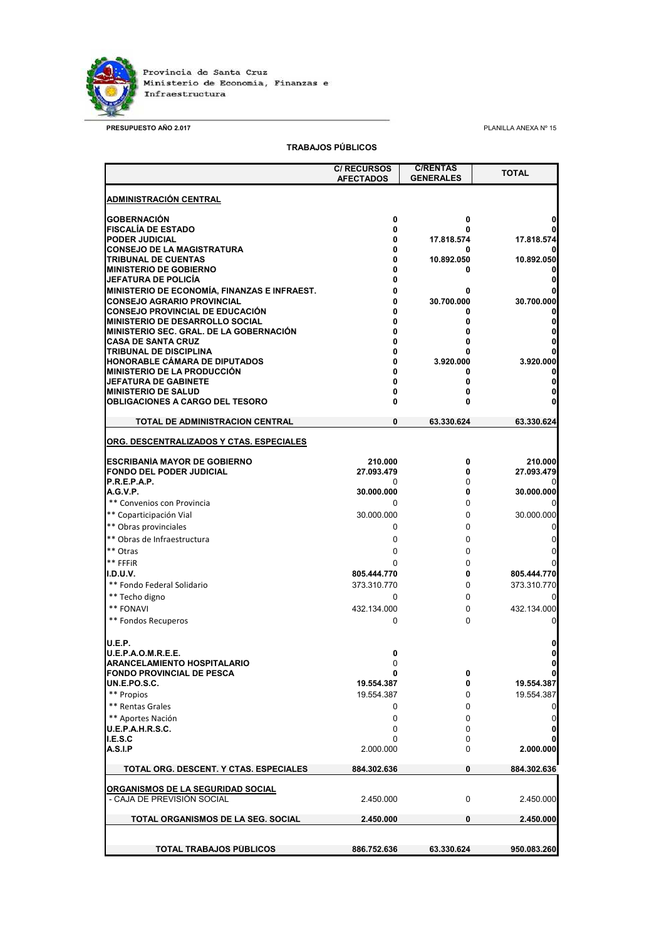

**PRESUPUESTO AÑO 2.017** PLANILLA ANEXA Nº 15

## **TRABAJOS PÚBLICOS**

|                                                                 | <b>C/ RECURSOS</b><br><b>AFECTADOS</b> | <b>C/RENTAS</b><br><b>GENERALES</b> | <b>TOTAL</b> |
|-----------------------------------------------------------------|----------------------------------------|-------------------------------------|--------------|
| <b>ADMINISTRACIÓN CENTRAL</b>                                   |                                        |                                     |              |
| <b>GOBERNACIÓN</b>                                              | 0                                      | 0                                   |              |
| <b>FISCALÍA DE ESTADO</b>                                       | 0                                      |                                     |              |
| <b>PODER JUDICIAL</b>                                           | 0                                      | 17.818.574                          | 17.818.574   |
| <b>CONSEJO DE LA MAGISTRATURA</b>                               | 0                                      | 0                                   |              |
| TRIBUNAL DE CUENTAS                                             | 0                                      | 10.892.050                          | 10.892.050   |
| <b>MINISTERIO DE GOBIERNO</b><br>JEFATURA DE POLICÍA            | 0<br>0                                 | 0                                   |              |
| <b>MINISTERIO DE ECONOMÍA. FINANZAS E INFRAEST.</b>             | 0                                      |                                     |              |
| <b>CONSEJO AGRARIO PROVINCIAL</b>                               | 0                                      | 30.700.000                          | 30.700.000   |
| <b>CONSEJO PROVINCIAL DE EDUCACIÓN</b>                          | 0                                      | 0                                   |              |
| <b>MINISTERIO DE DESARROLLO SOCIAL</b>                          | 0                                      |                                     | 0            |
| <b>MINISTERIO SEC. GRAL. DE LA GOBERNACIÓN</b>                  |                                        |                                     | 0            |
| <b>CASA DE SANTA CRUZ</b><br><b>TRIBUNAL DE DISCIPLINA</b>      | 0                                      |                                     | 0            |
| HONORABLE CÁMARA DE DIPUTADOS                                   | 0                                      | 3.920.000                           | 3.920.000    |
| <b>MINISTERIO DE LA PRODUCCIÓN</b>                              |                                        | 0                                   |              |
| <b>JEFATURA DE GABINETE</b>                                     | 0                                      | 0                                   | 0            |
| <b>MINISTERIO DE SALUD</b>                                      |                                        |                                     | 0            |
| <b>OBLIGACIONES A CARGO DEL TESORO</b>                          | 0                                      | 0                                   |              |
| TOTAL DE ADMINISTRACION CENTRAL                                 | 0                                      | 63.330.624                          | 63.330.624   |
| ORG. DESCENTRALIZADOS Y CTAS. ESPECIALES                        |                                        |                                     |              |
| <b>ESCRIBANÍA MAYOR DE GOBIERNO</b>                             | 210.000                                | 0                                   | 210.000      |
| <b>FONDO DEL PODER JUDICIAL</b>                                 | 27.093.479                             | 0                                   | 27.093.479   |
| <b>P.R.E.P.A.P.</b>                                             | 0                                      | 0                                   |              |
| A.G.V.P.                                                        | 30.000.000                             | 0                                   | 30.000.000   |
| ** Convenios con Provincia                                      | 0                                      | 0                                   |              |
| ** Coparticipación Vial                                         | 30.000.000                             | 0                                   | 30.000.000   |
| ** Obras provinciales                                           | 0                                      | 0                                   | 0            |
| ** Obras de Infraestructura                                     | 0                                      | 0                                   | 0            |
| ** Otras                                                        | 0                                      | 0                                   | 0            |
| ** FFFiR                                                        | 0                                      | 0                                   | 0            |
| <b>I.D.U.V.</b>                                                 | 805.444.770<br>373.310.770             | 0<br>0                              | 805.444.770  |
| ** Fondo Federal Solidario                                      |                                        |                                     | 373.310.770  |
| ** Techo digno                                                  | 0                                      | 0                                   |              |
| ** FONAVI                                                       | 432.134.000                            | 0                                   | 432.134.000  |
| ** Fondos Recuperos                                             | 0                                      | 0                                   | 0            |
| U.E.P.                                                          |                                        |                                     | 0            |
| <b>U.E.P.A.O.M.R.E.E.</b>                                       | 0                                      |                                     | 0            |
| ARANCELAMIENTO HOSPITALARIO<br><b>FONDO PROVINCIAL DE PESCA</b> | U<br>0                                 | 0                                   | U<br>0       |
| <b>UN.E.PO.S.C.</b>                                             | 19.554.387                             | 0                                   | 19.554.387   |
| ** Propios                                                      | 19.554.387                             | 0                                   | 19.554.387   |
| ** Rentas Grales                                                | 0                                      | 0                                   | 0            |
| ** Aportes Nación                                               | 0                                      | 0                                   | $\mathbf 0$  |
| U.E.P.A.H.R.S.C.                                                | 0                                      | 0                                   | 0            |
| I.E.S.C                                                         | 0                                      | 0                                   |              |
| <b>A.S.I.P</b>                                                  | 2.000.000                              | 0                                   | 2.000.000    |
| TOTAL ORG. DESCENT. Y CTAS. ESPECIALES                          | 884.302.636                            | 0                                   | 884.302.636  |
| <u>ORGANISMOS DE LA SEGURIDAD SOCIAL</u>                        |                                        |                                     |              |
| - CAJA DE PREVISIÓN SOCIAL                                      | 2.450.000                              | 0                                   | 2.450.000    |
| TOTAL ORGANISMOS DE LA SEG. SOCIAL                              | 2.450.000                              | 0                                   | 2.450.000    |
|                                                                 |                                        |                                     |              |
| TOTAL TRABAJOS PÚBLICOS                                         | 886.752.636                            | 63.330.624                          | 950.083.260  |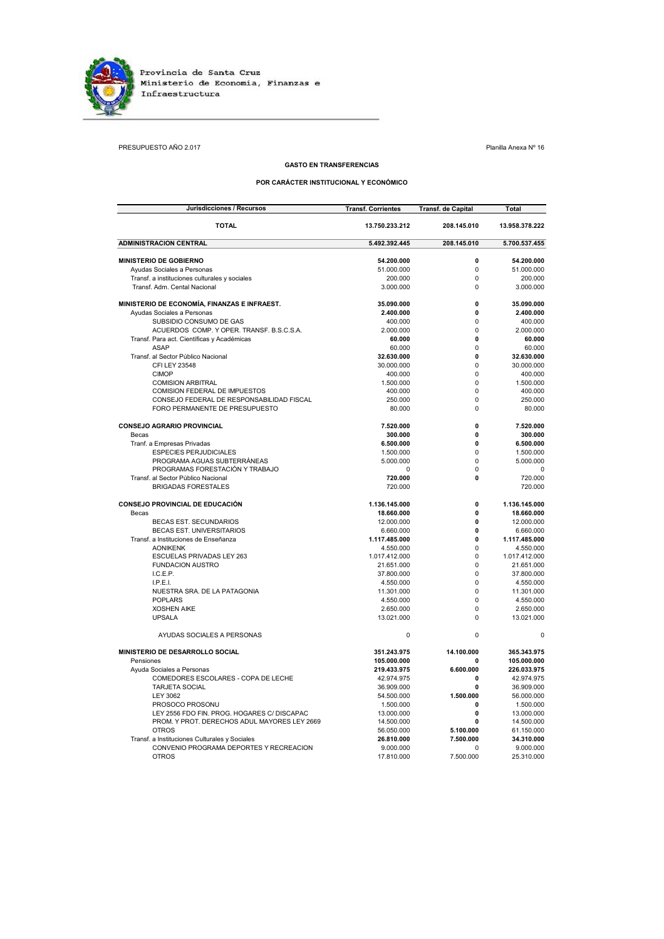

PRESUPUESTO AÑO 2.017 Planilla Anexa Nº 16

## **GASTO EN TRANSFERENCIAS**

## **POR CARÁCTER INSTITUCIONAL Y ECONÓMICO**

| Jurisdicciones / Recursos                     | <b>Transf. Corrientes</b> | <b>Transf. de Capital</b> | Total          |
|-----------------------------------------------|---------------------------|---------------------------|----------------|
| <b>TOTAL</b>                                  | 13.750.233.212            | 208.145.010               | 13.958.378.222 |
| <b>ADMINISTRACION CENTRAL</b>                 | 5.492.392.445             | 208.145.010               | 5.700.537.455  |
| <b>MINISTERIO DE GOBIERNO</b>                 | 54.200.000                | 0                         | 54.200.000     |
| Ayudas Sociales a Personas                    | 51.000.000                | 0                         | 51.000.000     |
| Transf. a instituciones culturales y sociales | 200.000                   | 0                         | 200.000        |
| Transf. Adm. Cental Nacional                  | 3.000.000                 | 0                         | 3.000.000      |
| MINISTERIO DE ECONOMÍA, FINANZAS E INFRAEST.  | 35.090.000                | 0                         | 35.090.000     |
| Ayudas Sociales a Personas                    | 2.400.000                 | 0                         | 2.400.000      |
| SUBSIDIO CONSUMO DE GAS                       | 400.000                   | 0                         | 400.000        |
| ACUERDOS COMP. Y OPER. TRANSF. B.S.C.S.A.     | 2.000.000                 | 0                         | 2.000.000      |
| Transf. Para act. Científicas y Académicas    | 60.000                    | 0                         | 60.000         |
| <b>ASAP</b>                                   | 60.000                    | 0                         | 60,000         |
| Transf. al Sector Público Nacional            | 32.630.000                | 0                         | 32.630.000     |
| CFI LEY 23548                                 | 30.000.000                | 0                         | 30.000.000     |
| <b>CIMOP</b>                                  | 400.000                   | 0                         | 400.000        |
| <b>COMISION ARBITRAL</b>                      | 1.500.000                 | 0                         | 1.500.000      |
| COMISION FEDERAL DE IMPUESTOS                 | 400.000                   | 0                         | 400.000        |
| CONSEJO FEDERAL DE RESPONSABILIDAD FISCAL     | 250.000                   | 0                         | 250.000        |
| FORO PERMANENTE DE PRESUPUESTO                | 80.000                    | 0                         | 80.000         |
| <b>CONSEJO AGRARIO PROVINCIAL</b>             | 7.520.000                 | 0                         | 7.520.000      |
| Becas                                         | 300.000                   | 0                         | 300.000        |
| Tranf. a Empresas Privadas                    | 6.500.000                 | 0                         | 6.500.000      |
| <b>ESPECIES PERJUDICIALES</b>                 | 1.500.000                 | 0                         | 1.500.000      |
| PROGRAMA AGUAS SUBTERRÁNEAS                   | 5.000.000                 | 0                         | 5.000.000      |
| PROGRAMAS FORESTACIÓN Y TRABAJO               | $\Omega$                  | 0                         | $\Omega$       |
| Transf. al Sector Público Nacional            | 720.000                   | 0                         | 720.000        |
| <b>BRIGADAS FORESTALES</b>                    | 720,000                   |                           | 720,000        |
| CONSEJO PROVINCIAL DE EDUCACIÓN               | 1.136.145.000             | 0                         | 1.136.145.000  |
| Becas                                         | 18.660.000                | 0                         | 18.660.000     |
| <b>BECAS EST. SECUNDARIOS</b>                 | 12.000.000                | 0                         | 12.000.000     |
| BECAS EST. UNIVERSITARIOS                     | 6.660.000                 | 0                         | 6.660.000      |
| Transf, a Instituciones de Enseñanza          | 1.117.485.000             | 0                         | 1.117.485.000  |
| <b>AONIKENK</b>                               | 4.550.000                 | 0                         | 4.550.000      |
| ESCUELAS PRIVADAS LEY 263                     | 1.017.412.000             | 0                         | 1.017.412.000  |
| <b>FUNDACION AUSTRO</b>                       | 21.651.000                | 0                         | 21.651.000     |
| I.C.E.P.                                      | 37.800.000                | 0                         | 37.800.000     |
| I.P.E.I.                                      | 4.550.000                 | 0                         | 4.550.000      |
| NUESTRA SRA. DE LA PATAGONIA                  | 11.301.000                | 0                         | 11.301.000     |
| <b>POPLARS</b>                                | 4.550.000                 | 0                         | 4.550.000      |
| <b>XOSHEN AIKE</b>                            | 2.650.000                 | 0                         | 2.650.000      |
| <b>UPSALA</b>                                 | 13.021.000                | 0                         | 13.021.000     |
| AYUDAS SOCIALES A PERSONAS                    | $\Omega$                  | 0                         | $\mathbf 0$    |
| MINISTERIO DE DESARROLLO SOCIAL               | 351.243.975               | 14.100.000                | 365.343.975    |
| Pensiones                                     | 105.000.000               | 0                         | 105.000.000    |
| Ayuda Sociales a Personas                     | 219.433.975               | 6.600.000                 | 226.033.975    |
| COMEDORES ESCOLARES - COPA DE LECHE           | 42.974.975                | 0                         | 42.974.975     |
| <b>TARJETA SOCIAL</b>                         | 36.909.000                | 0                         | 36.909.000     |
| <b>LEY 3062</b>                               | 54.500.000                | 1.500.000                 | 56.000.000     |
| PROSOCO PROSONU                               | 1.500.000                 | 0                         | 1.500.000      |
| LEY 2556 FDO FIN. PROG. HOGARES C/ DISCAPAC   | 13.000.000                | 0                         | 13.000.000     |
| PROM. Y PROT. DERECHOS ADUL MAYORES LEY 2669  | 14.500.000                | 0                         | 14.500.000     |
| <b>OTROS</b>                                  | 56.050.000                | 5.100.000                 | 61.150.000     |
| Transf. a Instituciones Culturales y Sociales | 26.810.000                | 7.500.000                 | 34.310.000     |
| CONVENIO PROGRAMA DEPORTES Y RECREACION       | 9.000.000                 | $\Omega$                  | 9.000.000      |
| <b>OTROS</b>                                  | 17.810.000                | 7.500.000                 | 25.310.000     |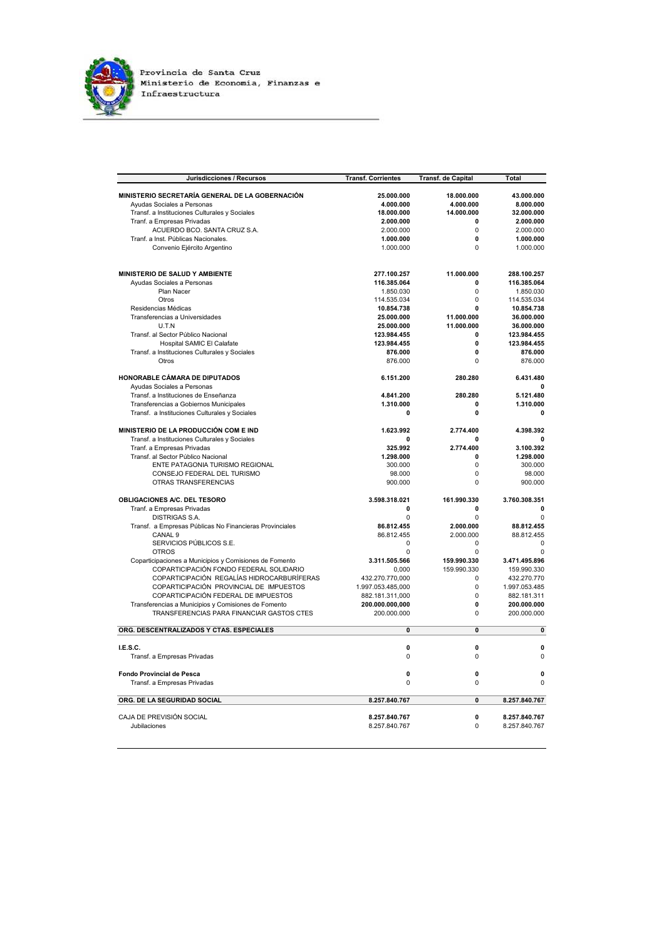

| Jurisdicciones / Recursos                               | <b>Transf. Corrientes</b> | <b>Transf. de Capital</b> | Total         |
|---------------------------------------------------------|---------------------------|---------------------------|---------------|
| MINISTERIO SECRETARÍA GENERAL DE LA GOBERNACIÓN         | 25.000.000                | 18.000.000                | 43.000.000    |
| Ayudas Sociales a Personas                              | 4.000.000                 | 4.000.000                 | 8.000.000     |
| Transf. a Instituciones Culturales y Sociales           | 18.000.000                | 14.000.000                | 32.000.000    |
|                                                         |                           | $\Omega$                  | 2.000.000     |
| Tranf. a Empresas Privadas                              | 2.000.000                 | $\Omega$                  |               |
| ACUERDO BCO, SANTA CRUZ S.A.                            | 2.000.000                 |                           | 2.000.000     |
| Tranf. a Inst. Públicas Nacionales.                     | 1.000.000                 | 0                         | 1.000.000     |
| Convenio Ejército Argentino                             | 1.000.000                 | $\Omega$                  | 1.000.000     |
| MINISTERIO DE SALUD Y AMBIENTE                          | 277.100.257               | 11.000.000                | 288.100.257   |
| Ayudas Sociales a Personas                              | 116.385.064               | 0                         | 116.385.064   |
| Plan Nacer                                              | 1.850.030                 | $\Omega$                  | 1.850.030     |
| Otros                                                   | 114.535.034               | $\mathbf 0$               | 114.535.034   |
| Residencias Médicas                                     | 10.854.738                | 0                         | 10.854.738    |
| Transferencias a Universidades                          | 25.000.000                | 11.000.000                | 36.000.000    |
| U.T.N                                                   | 25.000.000                | 11.000.000                | 36.000.000    |
| Transf. al Sector Público Nacional                      | 123.984.455               | 0                         | 123.984.455   |
| Hospital SAMIC El Calafate                              | 123.984.455               | 0                         | 123.984.455   |
| Transf. a Instituciones Culturales y Sociales           | 876.000                   | 0                         | 876.000       |
| Otros                                                   | 876,000                   | $\Omega$                  | 876.000       |
| <b>HONORABLE CÁMARA DE DIPUTADOS</b>                    | 6.151.200                 | 280.280                   | 6.431.480     |
| Ayudas Sociales a Personas                              |                           |                           |               |
| Transf. a Instituciones de Enseñanza                    | 4.841.200                 | 280.280                   | 5.121.480     |
| Transferencias a Gobiernos Municipales                  | 1.310.000                 | 0                         | 1.310.000     |
| Transf. a Instituciones Culturales y Sociales           | 0                         | 0                         | $\mathbf 0$   |
| MINISTERIO DE LA PRODUCCIÓN COM E IND                   | 1.623.992                 | 2.774.400                 | 4.398.392     |
| Transf. a Instituciones Culturales y Sociales           | O                         | 0                         | $\sqrt{2}$    |
| Tranf. a Empresas Privadas                              | 325.992                   | 2.774.400                 | 3.100.392     |
| Transf. al Sector Público Nacional                      | 1.298.000                 | 0                         | 1.298.000     |
| ENTE PATAGONIA TURISMO REGIONAL                         | 300.000                   | 0                         | 300.000       |
| CONSEJO FEDERAL DEL TURISMO                             | 98.000                    | $\mathbf 0$               | 98.000        |
| OTRAS TRANSFERENCIAS                                    | 900.000                   | $\mathbf 0$               | 900.000       |
| OBLIGACIONES A/C. DEL TESORO                            | 3.598.318.021             | 161.990.330               | 3.760.308.351 |
| Tranf. a Empresas Privadas                              | 0                         | 0                         | 0             |
| <b>DISTRIGAS S.A.</b>                                   | <sup>n</sup>              | $\Omega$                  | $\mathbf 0$   |
| Transf. a Empresas Públicas No Financieras Provinciales | 86.812.455                | 2.000.000                 | 88.812.455    |
| CANAL <sub>9</sub>                                      | 86.812.455                | 2.000.000                 | 88.812.455    |
| SERVICIOS PÚBLICOS S.E.                                 | 0                         | $\Omega$                  | $\Omega$      |
| <b>OTROS</b>                                            | 0                         | 0                         | $\mathbf 0$   |
| Coparticipaciones a Municipios y Comisiones de Fomento  | 3.311.505.566             | 159.990.330               | 3.471.495.896 |
| COPARTICIPACIÓN FONDO FEDERAL SOLIDARIO                 | 0,000                     | 159.990.330               | 159.990.330   |
| COPARTICIPACIÓN REGALÍAS HIDROCARBURÍFERAS              | 432.270.770,000           | 0                         | 432.270.770   |
| COPARTICIPACIÓN PROVINCIAL DE IMPUESTOS                 | 1.997.053.485,000         | 0                         | 1.997.053.485 |
| COPARTICIPACIÓN FEDERAL DE IMPUESTOS                    | 882.181.311,000           | 0                         | 882.181.311   |
| Transferencias a Municipios y Comisiones de Fomento     | 200.000.000,000           | 0                         | 200.000.000   |
| TRANSFERENCIAS PARA FINANCIAR GASTOS CTES               | 200.000.000               | $\mathbf 0$               | 200.000.000   |
| ORG. DESCENTRALIZADOS Y CTAS. ESPECIALES                | 0                         | $\mathbf{0}$              | $\mathbf{0}$  |
| I.E.S.C.                                                | 0                         | 0                         | $\mathbf 0$   |
| Transf. a Empresas Privadas                             | 0                         | 0                         | $\mathbf 0$   |
|                                                         |                           |                           |               |
| <b>Fondo Provincial de Pesca</b>                        | 0                         | 0                         | $\mathbf{0}$  |
| Transf. a Empresas Privadas                             | 0                         | $\mathbf 0$               | $\mathbf 0$   |
| ORG. DE LA SEGURIDAD SOCIAL                             | 8.257.840.767             | $\mathbf 0$               | 8.257.840.767 |
| CAJA DE PREVISIÓN SOCIAL                                | 8.257.840.767             | 0                         | 8.257.840.767 |
| Jubilaciones                                            | 8.257.840.767             | $\Omega$                  | 8.257.840.767 |
|                                                         |                           |                           |               |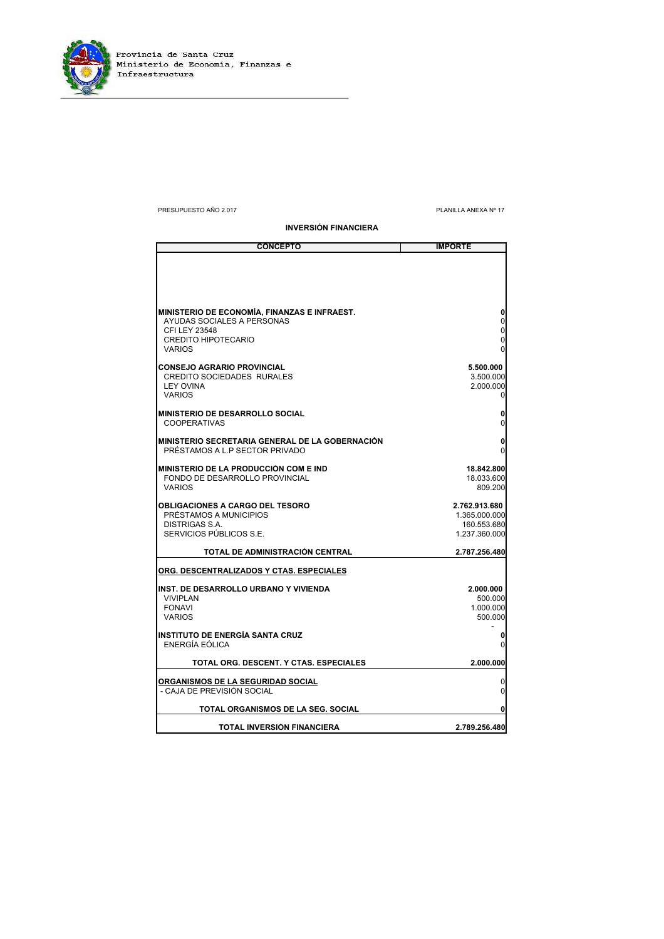

## PRESUPUESTO AÑO 2.017 PLANILLA ANEXA Nº 17

**INVERSIÓN FINANCIERA**

| <b>CONCEPTO</b>                                               | <b>IMPORTE</b>         |
|---------------------------------------------------------------|------------------------|
|                                                               |                        |
|                                                               |                        |
|                                                               |                        |
|                                                               |                        |
| MINISTERIO DE ECONOMÍA, FINANZAS E INFRAEST.                  |                        |
| AYUDAS SOCIALES A PERSONAS                                    | 0                      |
| CFI LEY 23548                                                 | $\mathbf 0$            |
| <b>CREDITO HIPOTECARIO</b><br><b>VARIOS</b>                   | $\overline{0}$<br>0    |
|                                                               |                        |
| <b>CONSEJO AGRARIO PROVINCIAL</b>                             | 5.500.000              |
| <b>CREDITO SOCIEDADES RURALES</b><br><b>LEY OVINA</b>         | 3.500.000<br>2.000.000 |
| <b>VARIOS</b>                                                 | 0                      |
|                                                               |                        |
| <b>MINISTERIO DE DESARROLLO SOCIAL</b><br><b>COOPERATIVAS</b> | 0                      |
|                                                               |                        |
| IMINISTERIO SECRETARIA GENERAL DE LA GOBERNACIÓN              | 0                      |
| PRÉSTAMOS A L.P SECTOR PRIVADO                                | $\Omega$               |
| <b>IMINISTERIO DE LA PRODUCCIÓN COM E IND</b>                 | 18.842.800             |
| FONDO DE DESARROLLO PROVINCIAL                                | 18.033.600             |
| <b>VARIOS</b>                                                 | 809.200                |
| <b>OBLIGACIONES A CARGO DEL TESORO</b>                        | 2.762.913.680          |
| PRÉSTAMOS A MUNICIPIOS                                        | 1.365.000.000          |
| <b>DISTRIGAS S.A.</b>                                         | 160.553.680            |
| SERVICIOS PÚBLICOS S.E.                                       | 1.237.360.000          |
| TOTAL DE ADMINISTRACIÓN CENTRAL                               | 2.787.256.480          |
| ORG. DESCENTRALIZADOS Y CTAS. ESPECIALES                      |                        |
|                                                               |                        |
| <b>IINST. DE DESARROLLO URBANO Y VIVIENDA</b>                 | 2.000.000              |
| <b>VIVIPLAN</b><br><b>FONAVI</b>                              | 500.000<br>1.000.000   |
| <b>VARIOS</b>                                                 | 500.000                |
|                                                               |                        |
| <b>INSTITUTO DE ENERGÍA SANTA CRUZ</b><br>ENERGÍA EÓLICA      | U                      |
|                                                               |                        |
| TOTAL ORG. DESCENT. Y CTAS. ESPECIALES                        | 2.000.000              |
| ORGANISMOS DE LA SEGURIDAD SOCIAL                             | 0                      |
| - CAJA DE PREVISIÓN SOCIAL                                    | 0                      |
|                                                               |                        |
| TOTAL ORGANISMOS DE LA SEG. SOCIAL                            |                        |
| TOTAL INVERSION FINANCIERA                                    | 2.789.256.480          |